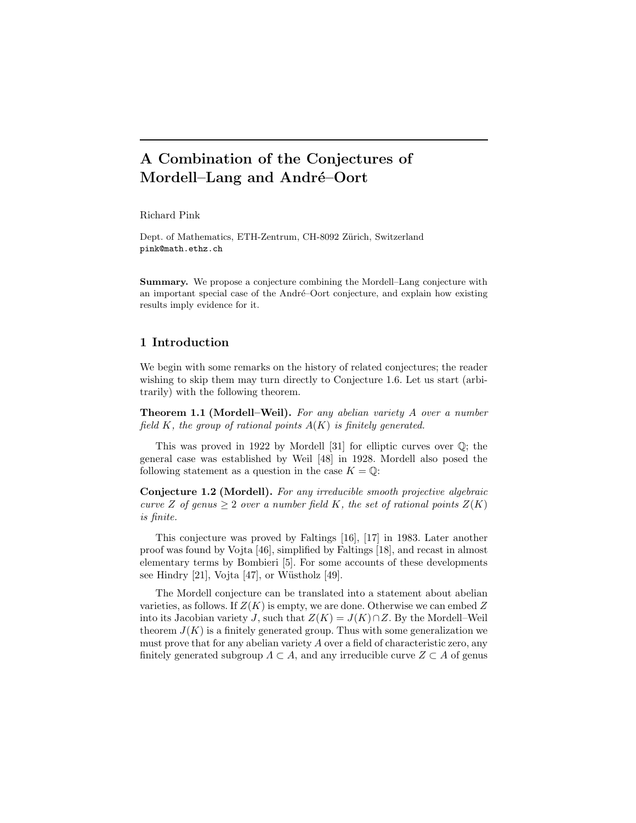# **A Combination of the Conjectures of** Mordell–Lang and André–Oort

Richard Pink

Dept. of Mathematics, ETH-Zentrum, CH-8092 Zürich, Switzerland pink@math.ethz.ch

**Summary.** We propose a conjecture combining the Mordell–Lang conjecture with an important special case of the André–Oort conjecture, and explain how existing results imply evidence for it.

# **1 Introduction**

We begin with some remarks on the history of related conjectures; the reader wishing to skip them may turn directly to Conjecture 1.6. Let us start (arbitrarily) with the following theorem.

**Theorem 1.1 (Mordell–Weil).** *For any abelian variety* A *over a number field* K*, the group of rational points* A(K) *is finitely generated.*

This was proved in 1922 by Mordell [31] for elliptic curves over Q; the general case was established by Weil [48] in 1928. Mordell also posed the following statement as a question in the case  $K = \mathbb{Q}$ :

**Conjecture 1.2 (Mordell).** *For any irreducible smooth projective algebraic curve* Z of genus  $\geq 2$  *over a number field* K, the set of rational points  $Z(K)$ *is finite.*

This conjecture was proved by Faltings [16], [17] in 1983. Later another proof was found by Vojta [46], simplified by Faltings [18], and recast in almost elementary terms by Bombieri [5]. For some accounts of these developments see Hindry  $[21]$ , Vojta  $[47]$ , or Wüstholz  $[49]$ .

The Mordell conjecture can be translated into a statement about abelian varieties, as follows. If  $Z(K)$  is empty, we are done. Otherwise we can embed Z into its Jacobian variety J, such that  $Z(K) = J(K) \cap Z$ . By the Mordell–Weil theorem  $J(K)$  is a finitely generated group. Thus with some generalization we must prove that for any abelian variety A over a field of characteristic zero, any finitely generated subgroup  $\Lambda \subset A$ , and any irreducible curve  $Z \subset A$  of genus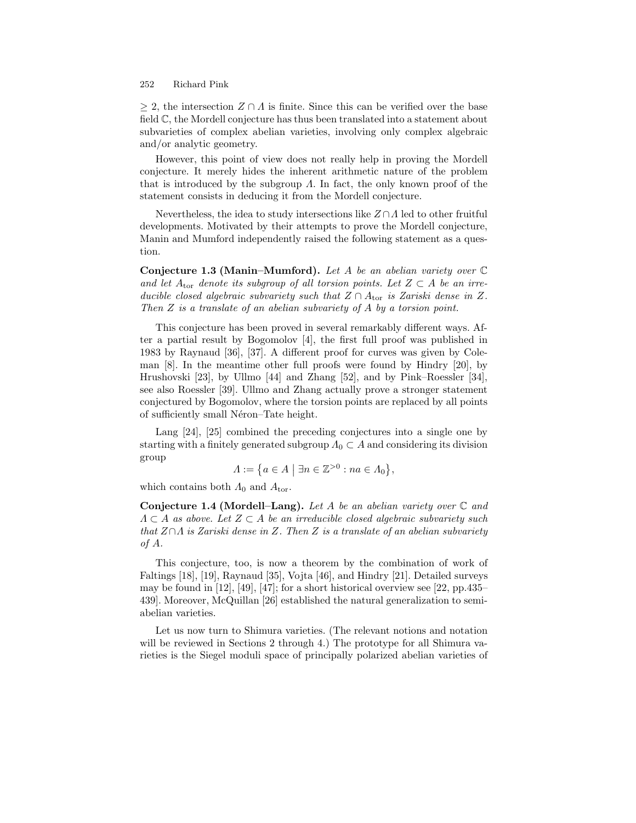> 2, the intersection  $Z ∩ A$  is finite. Since this can be verified over the base field C, the Mordell conjecture has thus been translated into a statement about subvarieties of complex abelian varieties, involving only complex algebraic and/or analytic geometry.

However, this point of view does not really help in proving the Mordell conjecture. It merely hides the inherent arithmetic nature of the problem that is introduced by the subgroup  $\Lambda$ . In fact, the only known proof of the statement consists in deducing it from the Mordell conjecture.

Nevertheless, the idea to study intersections like  $Z \cap \Lambda$  led to other fruitful developments. Motivated by their attempts to prove the Mordell conjecture, Manin and Mumford independently raised the following statement as a question.

**Conjecture 1.3 (Manin–Mumford).** *Let* A *be an abelian variety over* C and let  $A_{\text{tor}}$  denote its subgroup of all torsion points. Let  $Z \subset A$  be an irre*ducible closed algebraic subvariety such that*  $Z \cap A$ <sub>tor</sub> *is Zariski dense in*  $Z$ *. Then* Z *is a translate of an abelian subvariety of* A *by a torsion point.*

This conjecture has been proved in several remarkably different ways. After a partial result by Bogomolov [4], the first full proof was published in 1983 by Raynaud [36], [37]. A different proof for curves was given by Coleman [8]. In the meantime other full proofs were found by Hindry [20], by Hrushovski [23], by Ullmo [44] and Zhang [52], and by Pink–Roessler [34], see also Roessler [39]. Ullmo and Zhang actually prove a stronger statement conjectured by Bogomolov, where the torsion points are replaced by all points of sufficiently small Néron–Tate height.

Lang [24], [25] combined the preceding conjectures into a single one by starting with a finitely generated subgroup  $\Lambda_0 \subset A$  and considering its division group

$$
\Lambda := \big\{ a \in A \mid \exists n \in \mathbb{Z}^{>0} : na \in \Lambda_0 \big\},\
$$

which contains both  $\Lambda_0$  and  $A_{\text{tor}}$ .

**Conjecture 1.4 (Mordell–Lang).** *Let* A *be an abelian variety over* C *and* Λ ⊂ A *as above. Let* Z ⊂ A *be an irreducible closed algebraic subvariety such that* Z∩Λ *is Zariski dense in* Z*. Then* Z *is a translate of an abelian subvariety of* A*.*

This conjecture, too, is now a theorem by the combination of work of Faltings [18], [19], Raynaud [35], Vojta [46], and Hindry [21]. Detailed surveys may be found in [12], [49], [47]; for a short historical overview see [22, pp.435– 439]. Moreover, McQuillan [26] established the natural generalization to semiabelian varieties.

Let us now turn to Shimura varieties. (The relevant notions and notation will be reviewed in Sections 2 through 4.) The prototype for all Shimura varieties is the Siegel moduli space of principally polarized abelian varieties of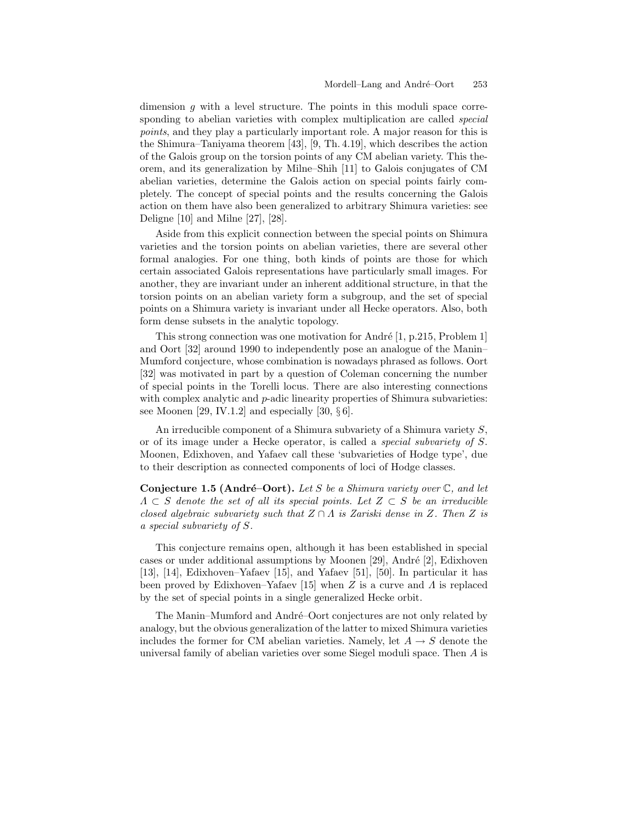dimension q with a level structure. The points in this moduli space corresponding to abelian varieties with complex multiplication are called *special points*, and they play a particularly important role. A major reason for this is the Shimura–Taniyama theorem [43], [9, Th. 4.19], which describes the action of the Galois group on the torsion points of any CM abelian variety. This theorem, and its generalization by Milne–Shih [11] to Galois conjugates of CM abelian varieties, determine the Galois action on special points fairly completely. The concept of special points and the results concerning the Galois action on them have also been generalized to arbitrary Shimura varieties: see Deligne [10] and Milne [27], [28].

Aside from this explicit connection between the special points on Shimura varieties and the torsion points on abelian varieties, there are several other formal analogies. For one thing, both kinds of points are those for which certain associated Galois representations have particularly small images. For another, they are invariant under an inherent additional structure, in that the torsion points on an abelian variety form a subgroup, and the set of special points on a Shimura variety is invariant under all Hecke operators. Also, both form dense subsets in the analytic topology.

This strong connection was one motivation for André  $[1, p.215, Problem 1]$ and Oort [32] around 1990 to independently pose an analogue of the Manin– Mumford conjecture, whose combination is nowadays phrased as follows. Oort [32] was motivated in part by a question of Coleman concerning the number of special points in the Torelli locus. There are also interesting connections with complex analytic and  $p$ -adic linearity properties of Shimura subvarieties: see Moonen [29, IV.1.2] and especially [30,  $\S 6$ ].

An irreducible component of a Shimura subvariety of a Shimura variety S, or of its image under a Hecke operator, is called a *special subvariety of* S. Moonen, Edixhoven, and Yafaev call these 'subvarieties of Hodge type', due to their description as connected components of loci of Hodge classes.

**Conjecture 1.5 (André–Oort).** Let S be a Shimura variety over  $\mathbb{C}$ , and let Λ ⊂ S *denote the set of all its special points. Let* Z ⊂ S *be an irreducible closed algebraic subvariety such that*  $Z \cap \Lambda$  *is Zariski dense in* Z. Then Z *is a special subvariety of* S*.*

This conjecture remains open, although it has been established in special cases or under additional assumptions by Moonen  $[29]$ , André  $[2]$ , Edixhoven [13], [14], Edixhoven–Yafaev [15], and Yafaev [51], [50]. In particular it has been proved by Edixhoven–Yafaev [15] when Z is a curve and  $\Lambda$  is replaced by the set of special points in a single generalized Hecke orbit.

The Manin–Mumford and André–Oort conjectures are not only related by analogy, but the obvious generalization of the latter to mixed Shimura varieties includes the former for CM abelian varieties. Namely, let  $A \rightarrow S$  denote the universal family of abelian varieties over some Siegel moduli space. Then A is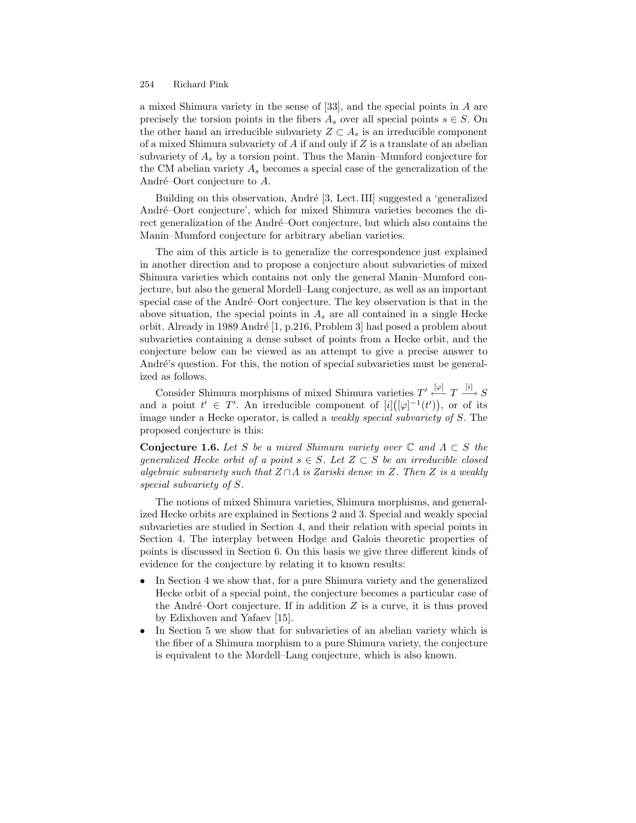a mixed Shimura variety in the sense of [33], and the special points in A are precisely the torsion points in the fibers  $A_s$  over all special points  $s \in S$ . On the other hand an irreducible subvariety  $Z \subset A_s$  is an irreducible component of a mixed Shimura subvariety of  $A$  if and only if  $Z$  is a translate of an abelian subvariety of  $A_s$  by a torsion point. Thus the Manin–Mumford conjecture for the CM abelian variety  $A_s$  becomes a special case of the generalization of the André-Oort conjecture to  $A$ .

Building on this observation, André [3, Lect. III] suggested a 'generalized André-Oort conjecture', which for mixed Shimura varieties becomes the direct generalization of the André-Oort conjecture, but which also contains the Manin–Mumford conjecture for arbitrary abelian varieties.

The aim of this article is to generalize the correspondence just explained in another direction and to propose a conjecture about subvarieties of mixed Shimura varieties which contains not only the general Manin–Mumford conjecture, but also the general Mordell–Lang conjecture, as well as an important special case of the André-Oort conjecture. The key observation is that in the above situation, the special points in  $A_s$  are all contained in a single Hecke orbit. Already in 1989 Andr´e [1, p.216, Problem 3] had posed a problem about subvarieties containing a dense subset of points from a Hecke orbit, and the conjecture below can be viewed as an attempt to give a precise answer to André's question. For this, the notion of special subvarieties must be generalized as follows.

Consider Shimura morphisms of mixed Shimura varieties  $T' \xleftarrow{ [\varphi]} T \xrightarrow{ [i]} S$ and a point  $t' \in T'$ . An irreducible component of  $[i]([\varphi]^{-1}(t'))$ , or of its image under a Hecke operator, is called a *weakly special subvariety of* S. The proposed conjecture is this:

**Conjecture 1.6.** *Let* S *be a mixed Shimura variety over*  $\mathbb{C}$  *and*  $\Lambda \subset S$  *the generalized Hecke orbit of a point*  $s \in S$ . Let  $Z \subset S$  *be an irreducible closed algebraic subvariety such that* Z ∩Λ *is Zariski dense in* Z*. Then* Z *is a weakly special subvariety of* S*.*

The notions of mixed Shimura varieties, Shimura morphisms, and generalized Hecke orbits are explained in Sections 2 and 3. Special and weakly special subvarieties are studied in Section 4, and their relation with special points in Section 4. The interplay between Hodge and Galois theoretic properties of points is discussed in Section 6. On this basis we give three different kinds of evidence for the conjecture by relating it to known results:

- In Section 4 we show that, for a pure Shimura variety and the generalized Hecke orbit of a special point, the conjecture becomes a particular case of the André-Oort conjecture. If in addition  $Z$  is a curve, it is thus proved by Edixhoven and Yafaev [15].
- In Section 5 we show that for subvarieties of an abelian variety which is the fiber of a Shimura morphism to a pure Shimura variety, the conjecture is equivalent to the Mordell–Lang conjecture, which is also known.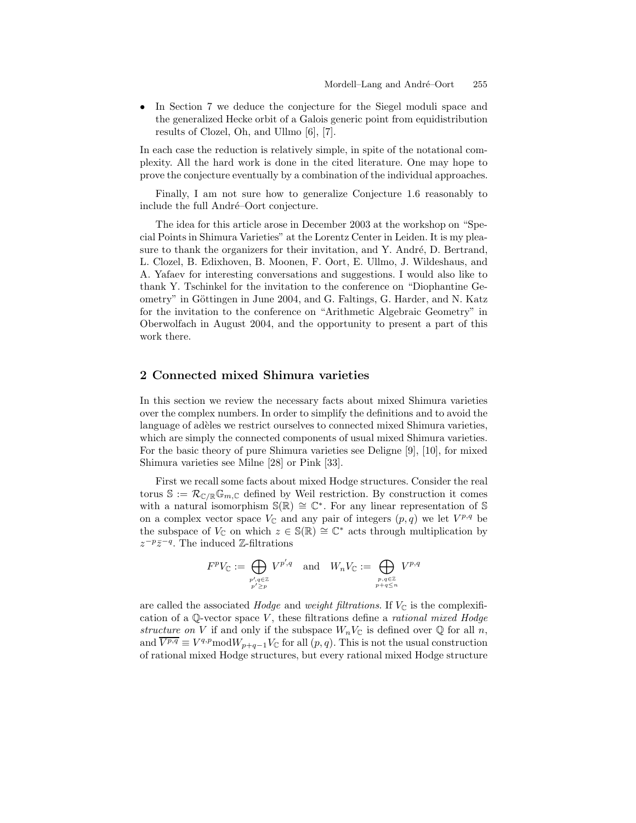• In Section 7 we deduce the conjecture for the Siegel moduli space and the generalized Hecke orbit of a Galois generic point from equidistribution results of Clozel, Oh, and Ullmo [6], [7].

In each case the reduction is relatively simple, in spite of the notational complexity. All the hard work is done in the cited literature. One may hope to prove the conjecture eventually by a combination of the individual approaches.

Finally, I am not sure how to generalize Conjecture 1.6 reasonably to include the full André-Oort conjecture.

The idea for this article arose in December 2003 at the workshop on "Special Points in Shimura Varieties" at the Lorentz Center in Leiden. It is my pleasure to thank the organizers for their invitation, and Y. André, D. Bertrand, L. Clozel, B. Edixhoven, B. Moonen, F. Oort, E. Ullmo, J. Wildeshaus, and A. Yafaev for interesting conversations and suggestions. I would also like to thank Y. Tschinkel for the invitation to the conference on "Diophantine Geometry" in Göttingen in June 2004, and G. Faltings, G. Harder, and N. Katz for the invitation to the conference on "Arithmetic Algebraic Geometry" in Oberwolfach in August 2004, and the opportunity to present a part of this work there.

# **2 Connected mixed Shimura varieties**

In this section we review the necessary facts about mixed Shimura varieties over the complex numbers. In order to simplify the definitions and to avoid the language of adèles we restrict ourselves to connected mixed Shimura varieties, which are simply the connected components of usual mixed Shimura varieties. For the basic theory of pure Shimura varieties see Deligne [9], [10], for mixed Shimura varieties see Milne [28] or Pink [33].

First we recall some facts about mixed Hodge structures. Consider the real torus  $\mathbb{S} := \mathcal{R}_{\mathbb{C}/\mathbb{R}} \mathbb{G}_{m,\mathbb{C}}$  defined by Weil restriction. By construction it comes with a natural isomorphism  $\mathbb{S}(\mathbb{R}) \cong \mathbb{C}^*$ . For any linear representation of S on a complex vector space  $V_{\mathbb{C}}$  and any pair of integers  $(p, q)$  we let  $V^{p,q}$  be the subspace of  $V_{\mathbb{C}}$  on which  $z \in \mathbb{S}(\mathbb{R}) \cong \mathbb{C}^*$  acts through multiplication by  $z^{-p}\overline{z}^{-q}$ . The induced Z-filtrations

$$
F^p V_{\mathbb{C}} := \bigoplus_{\substack{p', q \in \mathbb{Z} \\ p' \ge p}} V^{p', q} \quad \text{and} \quad W_n V_{\mathbb{C}} := \bigoplus_{\substack{p, q \in \mathbb{Z} \\ p + q \le n}} V^{p, q}
$$

are called the associated *Hodge* and *weight filtrations*. If  $V_{\mathbb{C}}$  is the complexification of a Q-vector space V , these filtrations define a *rational mixed Hodge structure on* V if and only if the subspace  $W_nV_{\mathbb{C}}$  is defined over  $\mathbb Q$  for all n, and  $\overline{V^{p,q}} \equiv V^{q,p} \text{mod} W_{p+q-1} V_{\mathbb{C}}$  for all  $(p,q)$ . This is not the usual construction of rational mixed Hodge structures, but every rational mixed Hodge structure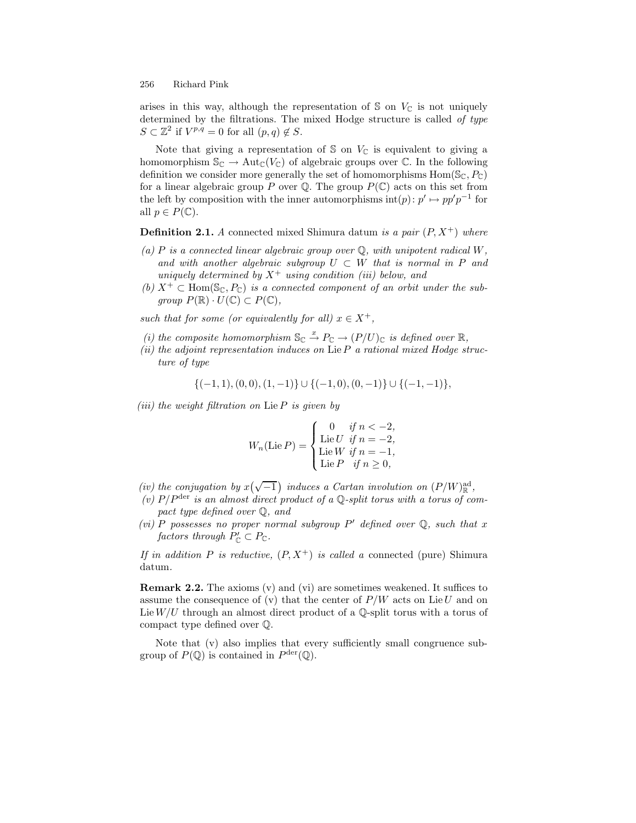arises in this way, although the representation of  $\mathcal S$  on  $V_{\mathbb C}$  is not uniquely determined by the filtrations. The mixed Hodge structure is called *of type*  $S \subset \mathbb{Z}^2$  if  $V^{p,q} = 0$  for all  $(p,q) \notin S$ .

Note that giving a representation of  $\mathcal S$  on  $V_{\mathbb C}$  is equivalent to giving a homomorphism  $\mathbb{S}_{\mathbb{C}} \to \text{Aut}_{\mathbb{C}}(V_{\mathbb{C}})$  of algebraic groups over  $\mathbb{C}$ . In the following definition we consider more generally the set of homomorphisms  $\text{Hom}(\mathbb{S}_{\mathbb{C}}, P_{\mathbb{C}})$ for a linear algebraic group P over  $\mathbb Q$ . The group  $P(\mathbb C)$  acts on this set from the left by composition with the inner automorphisms  $\text{int}(p) : p' \mapsto pp'p^{-1}$  for all  $p \in P(\mathbb{C})$ .

**Definition 2.1.** *A* connected mixed Shimura datum *is a pair*  $(P, X^+)$  *where* 

- *(a)* P *is a connected linear algebraic group over* Q*, with unipotent radical* W*, and with another algebraic subgroup*  $U \subset W$  *that is normal in* P *and uniquely determined by*  $X^+$  *using condition (iii) below, and*
- *(b)*  $X^+ \subset \text{Hom}(\mathbb{S}_{\mathbb{C}}, P_{\mathbb{C}})$  *is a connected component of an orbit under the subgroup*  $P(\mathbb{R}) \cdot U(\mathbb{C}) \subset P(\mathbb{C}),$

*such that for some (or equivalently for all)*  $x \in X^+$ ,

- (*i*) the composite homomorphism  $\mathbb{S}_{\mathbb{C}} \stackrel{x}{\to} P_{\mathbb{C}} \to (P/U)_{\mathbb{C}}$  is defined over  $\mathbb{R}$ ,
- *(ii) the adjoint representation induces on* LieP *a rational mixed Hodge structure of type*

$$
\{(-1,1),(0,0),(1,-1)\}\cup\{(-1,0),(0,-1)\}\cup\{(-1,-1)\},\
$$

*(iii) the weight filtration on* Lie P *is given by*

$$
W_n(\text{Lie } P) = \begin{cases} 0 & \text{if } n < -2, \\ \text{Lie } U & \text{if } n = -2, \\ \text{Lie } W & \text{if } n = -1, \\ \text{Lie } P & \text{if } n \ge 0, \end{cases}
$$

- *(iv)* the conjugation by  $x(\sqrt{-1})$  induces a Cartan involution on  $(P/W)^{\text{ad}}_{\mathbb{R}}$ ,
- *(v)* P/Pder *is an almost direct product of a* Q*-split torus with a torus of compact type defined over* Q*, and*
- *(vi)* P possesses no proper normal subgroup P' defined over  $\mathbb{Q}$ , such that x *factors through*  $P'_{\mathbb{C}} \subset P_{\mathbb{C}}$ *.*

*If in addition* P *is reductive,*  $(P, X^+)$  *is called a* connected (pure) Shimura datum*.*

**Remark 2.2.** The axioms (v) and (vi) are sometimes weakened. It suffices to assume the consequence of (v) that the center of  $P/W$  acts on Lie U and on Lie  $W/U$  through an almost direct product of a Q-split torus with a torus of compact type defined over Q.

Note that (v) also implies that every sufficiently small congruence subgroup of  $P(\mathbb{Q})$  is contained in  $P^{\text{der}}(\mathbb{Q})$ .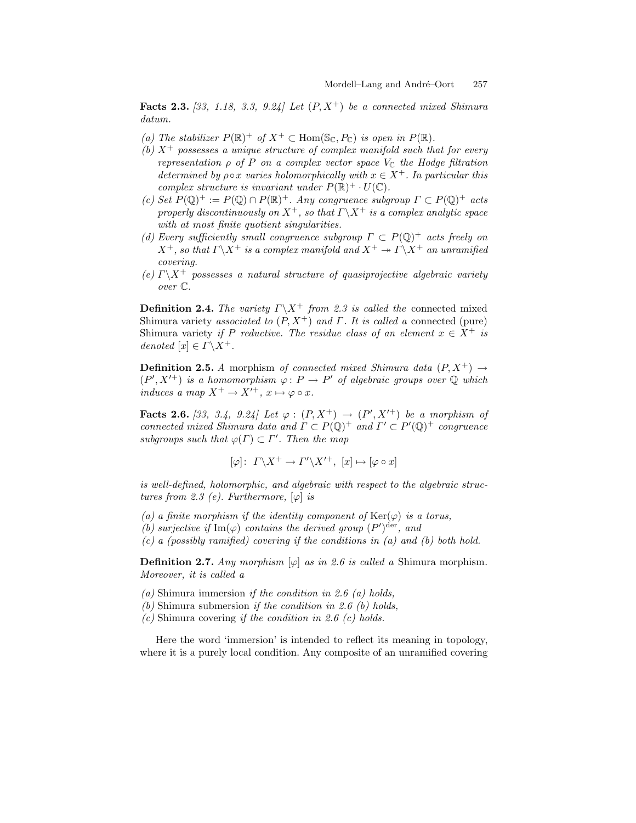**Facts 2.3.** *[33, 1.18, 3.3, 9.24] Let* (P, X<sup>+</sup>) *be a connected mixed Shimura datum.*

- *(a)* The stabilizer  $P(\mathbb{R})^+$  of  $X^+ \subset \text{Hom}(\mathbb{S}_{\mathbb{C}}, P_{\mathbb{C}})$  *is open in*  $P(\mathbb{R})$ *.*
- *(b)*  $X^+$  possesses a unique structure of complex manifold such that for every *representation*  $\rho$  *of*  $P$  *on a complex vector space*  $V_{\mathbb{C}}$  *the Hodge filtration determined by*  $\rho \circ x$  *varies holomorphically with*  $x \in X^+$ *. In particular this complex structure is invariant under*  $P(\mathbb{R})^+ \cdot U(\mathbb{C})$ *.*
- *(c) Set*  $P(\mathbb{Q})^+ := P(\mathbb{Q}) \cap P(\mathbb{R})^+$ . Any congruence subgroup  $\Gamma \subset P(\mathbb{Q})^+$  acts *properly discontinuously on*  $X^+$ *, so that*  $\Gamma \backslash X^+$  *is a complex analytic space with at most finite quotient singularities.*
- *(d) Every sufficiently small congruence subgroup* <sup>Γ</sup> <sup>⊂</sup> <sup>P</sup>(Q)<sup>+</sup> *acts freely on*  $X^+$ *, so that*  $\Gamma \backslash X^+$  *is a complex manifold and*  $X^+ \rightarrow \Gamma \backslash X^+$  *an unramified covering.*
- *(e)*  $\Gamma \backslash X^+$  possesses a natural structure of quasiprojective algebraic variety *over* C*.*

**Definition 2.4.** *The variety*  $\Gamma \backslash X^+$  *from 2.3 is called the* connected mixed Shimura variety *associated to* (P, X<sup>+</sup>) *and* Γ*. It is called a* connected (pure) Shimura variety *if* P *reductive. The residue class of an element*  $x \in X^+$  *is denoted*  $[x] \in \Gamma \backslash X^+$ .

**Definition 2.5.** *A* morphism *of connected mixed Shimura data*  $(P, X^+) \rightarrow$  $(P', X'^+)$  *is a homomorphism*  $\varphi : P \to P'$  *of algebraic groups over*  $\mathbb{Q}$  *which induces a map*  $X^+ \to X'^+$ ,  $x \mapsto \varphi \circ x$ .

**Facts 2.6.** [33, 3.4, 9.24] Let  $\varphi : (P, X^+) \to (P', X'^+)$  be a morphism of *connected mixed Shimura data and*  $\Gamma \subset P(\mathbb{Q})^+$  *and*  $\Gamma' \subset P'(\mathbb{Q})^+$  *congruence subgroups such that*  $\varphi(\Gamma) \subset \Gamma'$ . Then the map

$$
[\varphi] \colon T \backslash X^+ \to T' \backslash X'^+ , [x] \mapsto [\varphi \circ x]
$$

*is well-defined, holomorphic, and algebraic with respect to the algebraic structures from 2.3 (e). Furthermore,*  $[\varphi]$  *is* 

- *(a) a finite morphism if the identity component of*  $\text{Ker}(\varphi)$  *is a torus,*
- *(b) surjective if*  $\text{Im}(\varphi)$  *contains the derived group*  $(P')^{\text{der}}$ *, and*
- *(c) a (possibly ramified) covering if the conditions in (a) and (b) both hold.*

**Definition 2.7.** *Any morphism*  $[\varphi]$  *as in 2.6 is called a* Shimura morphism. *Moreover, it is called a*

- *(a)* Shimura immersion *if the condition in 2.6 (a) holds,*
- *(b)* Shimura submersion *if the condition in 2.6 (b) holds,*
- *(c)* Shimura covering *if the condition in 2.6 (c) holds.*

Here the word 'immersion' is intended to reflect its meaning in topology, where it is a purely local condition. Any composite of an unramified covering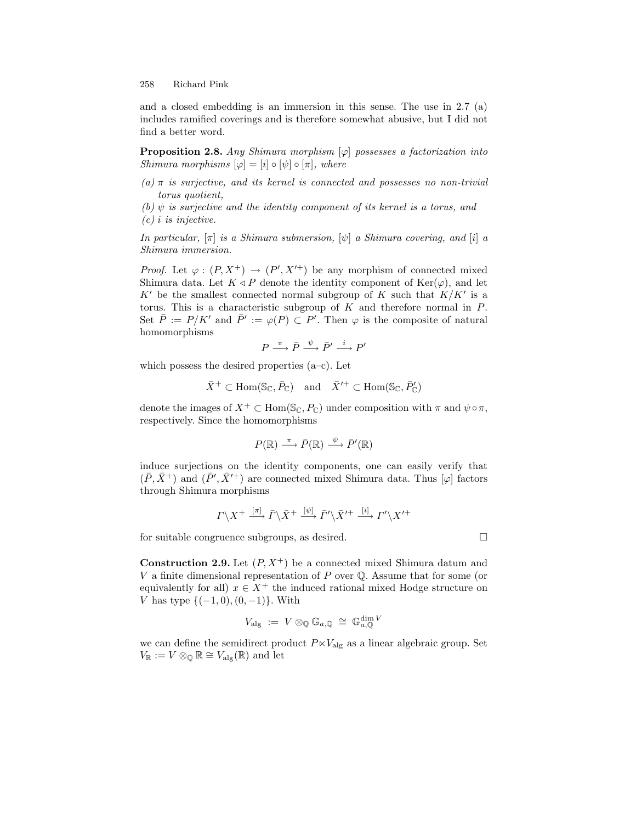and a closed embedding is an immersion in this sense. The use in 2.7 (a) includes ramified coverings and is therefore somewhat abusive, but I did not find a better word.

**Proposition 2.8.** *Any Shimura morphism* [ϕ] *possesses a factorization into Shimura morphisms*  $[\varphi] = [i] \circ [\psi] \circ [\pi]$ *, where* 

*(a)* π *is surjective, and its kernel is connected and possesses no non-trivial torus quotient,*

 $(b)$   $\psi$  *is surjective and the identity component of its kernel is a torus, and (c)* i *is injective.*

*In particular,* [π] *is a Shimura submersion,* [ψ] *a Shimura covering, and* [i] *a Shimura immersion.*

*Proof.* Let  $\varphi: (P, X^+) \to (P', X'^+)$  be any morphism of connected mixed Shimura data. Let  $K \triangleleft P$  denote the identity component of  $\text{Ker}(\varphi)$ , and let  $K'$  be the smallest connected normal subgroup of K such that  $K/K'$  is a torus. This is a characteristic subgroup of  $K$  and therefore normal in  $P$ . Set  $\overline{P} := P/K'$  and  $\overline{P'} := \varphi(P) \subset P'$ . Then  $\varphi$  is the composite of natural homomorphisms

$$
P \xrightarrow{\pi} \bar{P} \xrightarrow{\psi} \bar{P}' \xrightarrow{i} P'
$$

which possess the desired properties  $(a-c)$ . Let

 $\bar{X}^+ \subset \text{Hom}(\mathbb{S}_{\mathbb{C}}, \bar{P}_{\mathbb{C}})$  and  $\bar{X}'^+ \subset \text{Hom}(\mathbb{S}_{\mathbb{C}}, \bar{P}_{\mathbb{C}}')$ 

denote the images of  $X^+ \subset \text{Hom}(\mathbb{S}_{\mathbb{C}}, P_{\mathbb{C}})$  under composition with  $\pi$  and  $\psi \circ \pi$ , respectively. Since the homomorphisms

$$
P(\mathbb{R}) \xrightarrow{\pi} \bar{P}(\mathbb{R}) \xrightarrow{\psi} \bar{P}'(\mathbb{R})
$$

induce surjections on the identity components, one can easily verify that  $(\bar{P}, \bar{X}^+)$  and  $(\bar{P}', \bar{X}'^+)$  are connected mixed Shimura data. Thus  $[\varphi]$  factors through Shimura morphisms

$$
\Gamma \backslash X^+
$$
  $\xrightarrow{[\pi]}$   $\overline{\Gamma} \backslash \overline{X}^+$   $\xrightarrow{[\psi]}$   $\overline{\Gamma}' \backslash \overline{X}'^+$   $\xrightarrow{[\iota]}$   $\Gamma' \backslash X'^+$ 

for suitable congruence subgroups, as desired.

**Construction 2.9.** Let  $(P, X^+)$  be a connected mixed Shimura datum and V a finite dimensional representation of  $P$  over  $\mathbb Q$ . Assume that for some (or equivalently for all)  $x \in X^+$  the induced rational mixed Hodge structure on V has type  $\{(-1,0), (0,-1)\}$ . With

$$
V_{\mathrm{alg}} \; := \; V \otimes_{\mathbb{Q}} \mathbb{G}_{a,\mathbb{Q}} \; \cong \; \mathbb{G}_{a,\mathbb{Q}}^{\dim V}
$$

we can define the semidirect product  $P \ltimes V_{\text{alg}}$  as a linear algebraic group. Set  $V_{\mathbb{R}} := V \otimes_{\mathbb{Q}} \mathbb{R} \cong V_{\text{alg}}(\mathbb{R})$  and let

 $\Box$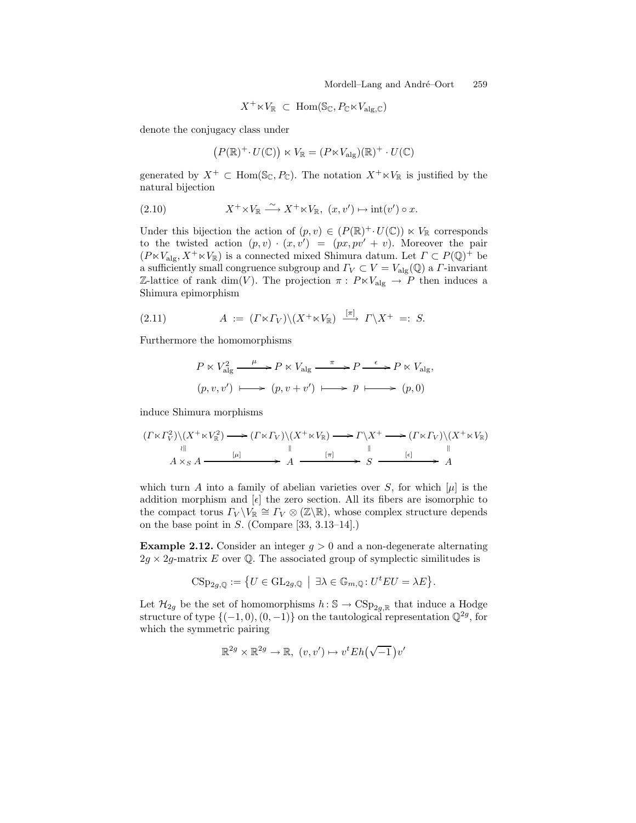$$
X^+\ltimes V_{\mathbb R}\ \subset\ \mathrm{Hom}(\mathbb{S}_{\mathbb C},P_{\mathbb C}\ltimes V_{\mathrm{alg},\mathbb C})
$$

denote the conjugacy class under

$$
(P(\mathbb{R})^+\cdot U(\mathbb{C}))\ltimes V_{\mathbb{R}}=(P\ltimes V_{\mathrm{alg}})(\mathbb{R})^+\cdot U(\mathbb{C})
$$

generated by  $X^+ \subset \text{Hom}(\mathbb{S}_{\mathbb{C}}, P_{\mathbb{C}})$ . The notation  $X^+ \ltimes V_{\mathbb{R}}$  is justified by the natural bijection

(2.10) 
$$
X^+ \times V_{\mathbb{R}} \xrightarrow{\sim} X^+ \times V_{\mathbb{R}}, \ (x, v') \mapsto \mathrm{int}(v') \circ x.
$$

Under this bijection the action of  $(p, v) \in (P(\mathbb{R})^+\cdot U(\mathbb{C})) \ltimes V_{\mathbb{R}}$  corresponds to the twisted action  $(p, v) \cdot (x, v') = (px, pv' + v)$ . Moreover the pair  $(P \ltimes V_{\text{alg}}, X^+ \ltimes V_{\mathbb{R}})$  is a connected mixed Shimura datum. Let  $\Gamma \subset P(\mathbb{Q})^+$  be a sufficiently small congruence subgroup and  $\Gamma_V \subset V = V_{\text{alg}}(\mathbb{Q})$  a *Γ*-invariant Z-lattice of rank dim(V). The projection  $\pi$ :  $P \ltimes V_{\text{alg}} \to P$  then induces a Shimura epimorphism

(2.11) 
$$
A := (\Gamma \ltimes \Gamma_V) \setminus (X^+ \ltimes V_{\mathbb{R}}) \xrightarrow{[\pi]} \Gamma \setminus X^+ =: S.
$$

Furthermore the homomorphisms

$$
P \ltimes V_{\text{alg}}^2 \xrightarrow{\mu} P \ltimes V_{\text{alg}} \xrightarrow{\pi} P \xrightarrow{\epsilon} P \ltimes V_{\text{alg}},
$$
  

$$
(p, v, v') \longmapsto (p, v + v') \longmapsto p \longmapsto (p, 0)
$$

induce Shimura morphisms

$$
(I \ltimes \Gamma_V^2) \setminus (X^+ \ltimes V_{\mathbb{R}}^2) \longrightarrow (I \ltimes \Gamma_V) \setminus (X^+ \ltimes V_{\mathbb{R}}) \longrightarrow \Gamma \setminus X^+ \longrightarrow (I \ltimes \Gamma_V) \setminus (X^+ \ltimes V_{\mathbb{R}})
$$
  
\n
$$
\xrightarrow{\text{all}} A \times_S A \xrightarrow{\text{[$\mu$]}} A \longrightarrow A \xrightarrow{\text{[$\pi$]} \longrightarrow S} S \longrightarrow A
$$

which turn A into a family of abelian varieties over S, for which  $|\mu|$  is the addition morphism and  $[\epsilon]$  the zero section. All its fibers are isomorphic to the compact torus  $\Gamma_V \backslash V_{\mathbb{R}} \cong \Gamma_V \otimes (\mathbb{Z} \backslash \mathbb{R})$ , whose complex structure depends on the base point in S. (Compare [33, 3.13–14].)

**Example 2.12.** Consider an integer  $g > 0$  and a non-degenerate alternating  $2g \times 2g$ -matrix E over Q. The associated group of symplectic similitudes is

$$
\mathrm{CSp}_{2g,\mathbb{Q}}:=\big\{U\in\mathrm{GL}_{2g,\mathbb{Q}}\;\big|\;\, \exists\lambda\in\mathbb{G}_{m,\mathbb{Q}}\colon U^tEU=\lambda E\big\}.
$$

Let  $\mathcal{H}_{2g}$  be the set of homomorphisms  $h : \mathbb{S} \to \text{CSp}_{2g,\mathbb{R}}$  that induce a Hodge structure of type  $\{(-1, 0), (0, -1)\}$  on the tautological representation  $\mathbb{Q}^{2g}$ , for which the symmetric pairing

$$
\mathbb{R}^{2g} \times \mathbb{R}^{2g} \to \mathbb{R}, \ (v, v') \mapsto v^t E h(\sqrt{-1}) v'
$$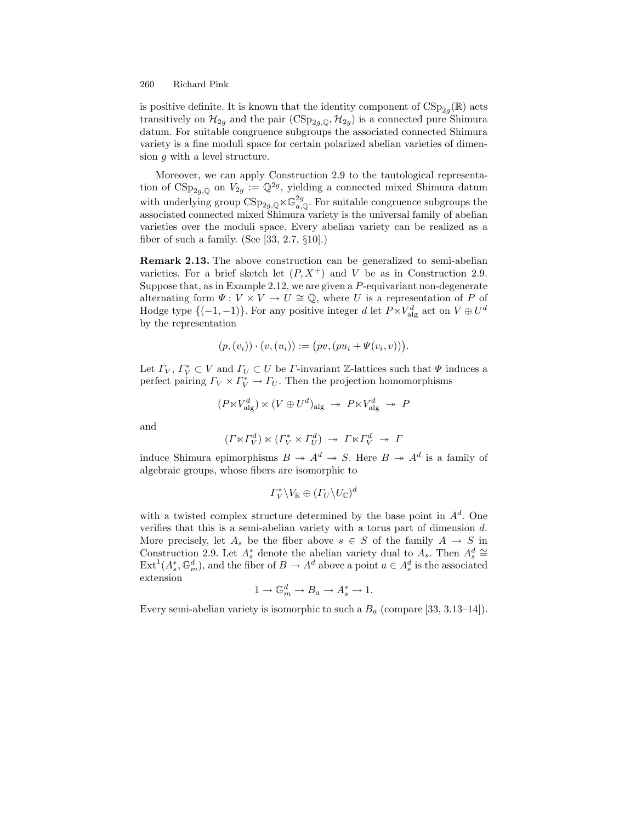is positive definite. It is known that the identity component of  $CSp_{2q}(\mathbb{R})$  acts transitively on  $\mathcal{H}_{2g}$  and the pair  $(\text{CSp}_{2g,\mathbb{Q}}, \mathcal{H}_{2g})$  is a connected pure Shimura datum. For suitable congruence subgroups the associated connected Shimura variety is a fine moduli space for certain polarized abelian varieties of dimension g with a level structure.

Moreover, we can apply Construction 2.9 to the tautological representation of  $CSp_{2g,\mathbb{Q}}$  on  $V_{2g} := \mathbb{Q}^{2g}$ , yielding a connected mixed Shimura datum with underlying group  $\text{CSp}_{2g,\mathbb{Q}} \ltimes \mathbb{G}_{a,\mathbb{Q}}^{2g}$ . For suitable congruence subgroups the associated connected mixed Shimura variety is the universal family of abelian varieties over the moduli space. Every abelian variety can be realized as a fiber of such a family. (See  $[33, 2.7, \S10]$ .)

**Remark 2.13.** The above construction can be generalized to semi-abelian varieties. For a brief sketch let  $(P, X^+)$  and V be as in Construction 2.9. Suppose that, as in Example 2.12, we are given a  $P$ -equivariant non-degenerate alternating form  $\Psi: V \times V \to U \cong \mathbb{Q}$ , where U is a representation of P of Hodge type  $\{(-1,-1)\}$ . For any positive integer d let  $P \ltimes V_{\text{alg}}^d$  act on  $V \oplus U^d$ by the representation

$$
(p, (v_i)) \cdot (v, (u_i)) := (pv, (pu_i + \Psi(v_i, v))).
$$

Let  $\Gamma_V$ ,  $\Gamma_V^* \subset V$  and  $\Gamma_U \subset U$  be  $\Gamma$ -invariant  $\mathbb{Z}$ -lattices such that  $\Psi$  induces a perfect pairing  $\Gamma_V \times \Gamma_V^* \to \Gamma_U$ . Then the projection homomorphisms

$$
(P \ltimes V_{\text{alg}}^d) \ltimes (V \oplus U^d)_{\text{alg}} \rightarrow P \ltimes V_{\text{alg}}^d \rightarrow P
$$

and

$$
(\Gamma \ltimes \Gamma_V^d) \ltimes (\Gamma_V^* \times \Gamma_U^d) \rightarrow \Gamma \ltimes \Gamma_V^d \rightarrow \Gamma
$$

induce Shimura epimorphisms  $B \to A^d \to S$ . Here  $B \to A^d$  is a family of algebraic groups, whose fibers are isomorphic to

$$
\Gamma^*_V \backslash V_{\mathbb{R}} \oplus (\Gamma_U \backslash U_{\mathbb{C}})^d
$$

with a twisted complex structure determined by the base point in  $A<sup>d</sup>$ . One verifies that this is a semi-abelian variety with a torus part of dimension d. More precisely, let  $A_s$  be the fiber above  $s \in S$  of the family  $A \to S$  in Construction 2.9. Let  $A_s^*$  denote the abelian variety dual to  $A_s$ . Then  $A_s^d \cong$  $\text{Ext}^1(A_s^*, \mathbb{G}_m^d)$ , and the fiber of  $B \to A^d$  above a point  $a \in A_s^d$  is the associated extension

$$
1 \to \mathbb{G}_m^d \to B_a \to A_s^* \to 1.
$$

Every semi-abelian variety is isomorphic to such a  $B_a$  (compare [33, 3.13–14]).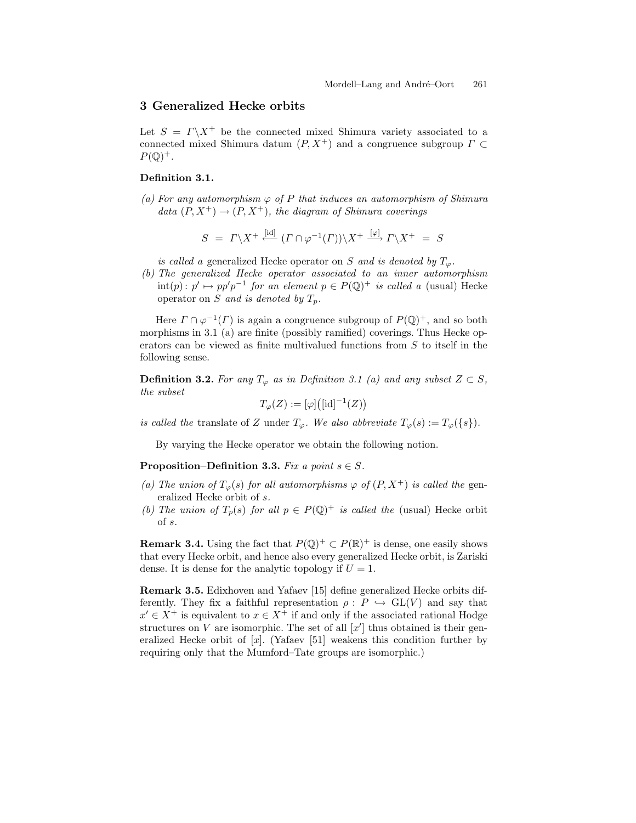# **3 Generalized Hecke orbits**

Let  $S = \Gamma \backslash X^+$  be the connected mixed Shimura variety associated to a connected mixed Shimura datum  $(P, X^+)$  and a congruence subgroup  $\Gamma \subset$  $P(\mathbb{Q})^+$ .

### **Definition 3.1.**

 $(a)$  For any automorphism  $\varphi$  of P that induces an automorphism of Shimura *data*  $(P, X^+) \rightarrow (P, X^+)$ *, the diagram of Shimura coverings* 

$$
S = \Gamma \backslash X^+ \stackrel{\text{[id]}}{\longleftarrow} (\Gamma \cap \varphi^{-1}(\Gamma)) \backslash X^+ \stackrel{\text{[}\varphi]}{\longrightarrow} \Gamma \backslash X^+ = S
$$

*is called a* generalized Hecke operator on S and is denoted by  $T_{\varphi}$ .

*(b) The generalized Hecke operator associated to an inner automorphism*  $\text{int}(p) : p' \mapsto pp'p^{-1}$  *for an element*  $p \in P(\mathbb{Q})^+$  *is called a* (usual) Hecke operator on S *and is denoted by*  $T_p$ .

Here  $\Gamma \cap \varphi^{-1}(\Gamma)$  is again a congruence subgroup of  $P(\mathbb{Q})^+$ , and so both morphisms in 3.1 (a) are finite (possibly ramified) coverings. Thus Hecke operators can be viewed as finite multivalued functions from S to itself in the following sense.

**Definition 3.2.** *For any*  $T_{\varphi}$  *as in Definition 3.1 (a) and any subset*  $Z \subset S$ *, the subset*

 $T_{\varphi}(Z) := [\varphi] ([\mathrm{id}]^{-1}(Z))$ 

*is called the* translate of Z under  $T_{\varphi}$ . We also abbreviate  $T_{\varphi}(s) := T_{\varphi}(\{s\})$ .

By varying the Hecke operator we obtain the following notion.

**Proposition–Definition 3.3.** *Fix a point*  $s \in S$ .

- (a) The union of  $T_{\varphi}(s)$  for all automorphisms  $\varphi$  of  $(P, X^+)$  *is called the* generalized Hecke orbit of s*.*
- *(b)* The union of  $T_p(s)$  for all  $p \in P(\mathbb{Q})^+$  *is called the* (usual) Hecke orbit of s*.*

**Remark 3.4.** Using the fact that  $P(\mathbb{Q})^+ \subset P(\mathbb{R})^+$  is dense, one easily shows that every Hecke orbit, and hence also every generalized Hecke orbit, is Zariski dense. It is dense for the analytic topology if  $U = 1$ .

**Remark 3.5.** Edixhoven and Yafaev [15] define generalized Hecke orbits differently. They fix a faithful representation  $\rho: P \hookrightarrow GL(V)$  and say that  $x' \in X^+$  is equivalent to  $x \in X^+$  if and only if the associated rational Hodge structures on V are isomorphic. The set of all  $[x']$  thus obtained is their generalized Hecke orbit of  $[x]$ . (Yafaev [51] weakens this condition further by requiring only that the Mumford–Tate groups are isomorphic.)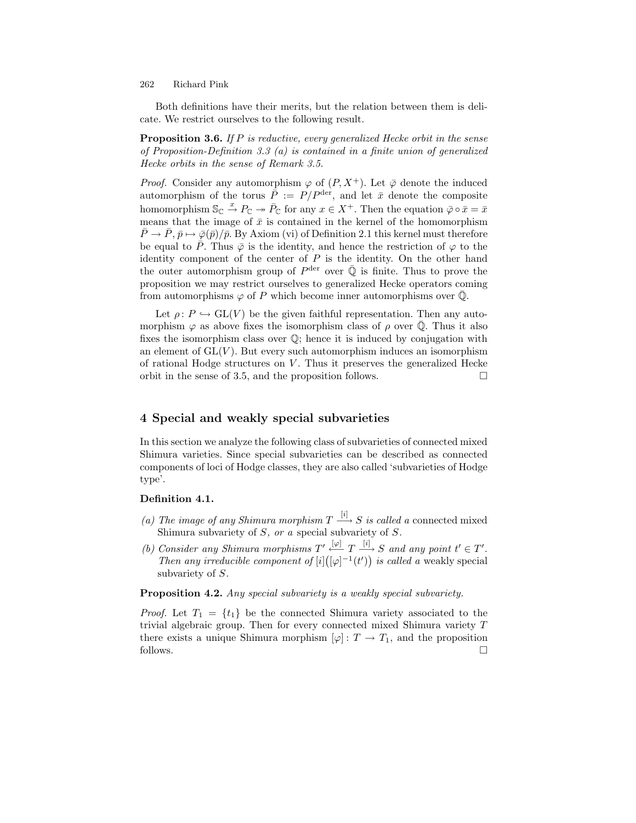Both definitions have their merits, but the relation between them is delicate. We restrict ourselves to the following result.

**Proposition 3.6.** *If* P *is reductive, every generalized Hecke orbit in the sense of Proposition-Definition 3.3 (a) is contained in a finite union of generalized Hecke orbits in the sense of Remark 3.5.*

*Proof.* Consider any automorphism  $\varphi$  of  $(P, X^+)$ . Let  $\overline{\varphi}$  denote the induced automorphism of the torus  $\bar{\vec{P}} := P/P^{\text{der}},$  and let  $\bar{x}$  denote the composite homomorphism  $\mathbb{S}_{\mathbb{C}} \stackrel{x}{\to} P_{\mathbb{C}} \twoheadrightarrow \overline{P}_{\mathbb{C}}$  for any  $x \in X^+$ . Then the equation  $\overline{\varphi} \circ \overline{x} = \overline{x}$ means that the image of  $\bar{x}$  is contained in the kernel of the homomorphism  $\overline{P} \to \overline{P}, \overline{p} \mapsto \overline{\varphi}(\overline{p})/\overline{p}$ . By Axiom (vi) of Definition 2.1 this kernel must therefore be equal to  $\bar{P}$ . Thus  $\bar{\varphi}$  is the identity, and hence the restriction of  $\varphi$  to the identity component of the center of  $P$  is the identity. On the other hand the outer automorphism group of  $P^{\text{der}}$  over  $\overline{Q}$  is finite. Thus to prove the proposition we may restrict ourselves to generalized Hecke operators coming from automorphisms  $\varphi$  of P which become inner automorphisms over  $\overline{Q}$ .

Let  $\rho: P \hookrightarrow GL(V)$  be the given faithful representation. Then any automorphism  $\varphi$  as above fixes the isomorphism class of  $\rho$  over  $\overline{Q}$ . Thus it also fixes the isomorphism class over  $\mathbb{Q}$ ; hence it is induced by conjugation with an element of  $GL(V)$ . But every such automorphism induces an isomorphism of rational Hodge structures on  $V$ . Thus it preserves the generalized Hecke orbit in the sense of 3.5, and the proposition follows. - $\Box$ 

# **4 Special and weakly special subvarieties**

In this section we analyze the following class of subvarieties of connected mixed Shimura varieties. Since special subvarieties can be described as connected components of loci of Hodge classes, they are also called 'subvarieties of Hodge type'.

### **Definition 4.1.**

- *(a) The image of any Shimura morphism*  $T \xrightarrow{[i]} S$  *is called a* connected mixed Shimura subvariety of S*, or a* special subvariety of S*.*
- *(b)* Consider any Shimura morphisms  $T' \xrightarrow{[\varphi]} T \xrightarrow{[i]} S$  and any point  $t' \in T'$ . *Then any irreducible component of*  $[i]([\varphi]^{-1}(t'))$  *is called a* weakly special subvariety of S*.*

**Proposition 4.2.** *Any special subvariety is a weakly special subvariety.*

*Proof.* Let  $T_1 = \{t_1\}$  be the connected Shimura variety associated to the trivial algebraic group. Then for every connected mixed Shimura variety  $T$ there exists a unique Shimura morphism  $[\varphi] : T \to T_1$ , and the proposition follows. follows.  $\Box$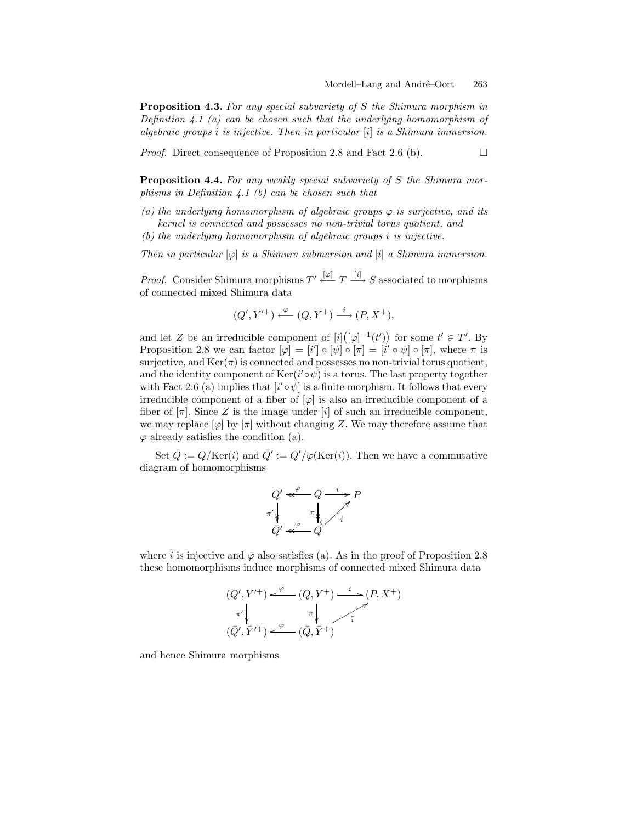**Proposition 4.3.** *For any special subvariety of* S *the Shimura morphism in Definition 4.1 (a) can be chosen such that the underlying homomorphism of algebraic groups* i *is injective. Then in particular* [i] *is a Shimura immersion.*

*Proof.* Direct consequence of Proposition 2.8 and Fact 2.6 (b).

 $\Box$ 

**Proposition 4.4.** *For any weakly special subvariety of* S *the Shimura morphisms in Definition 4.1 (b) can be chosen such that*

- $(a)$  *the underlying homomorphism of algebraic groups*  $\varphi$  *is surjective, and its kernel is connected and possesses no non-trivial torus quotient, and*
- *(b) the underlying homomorphism of algebraic groups* i *is injective.*

*Then in particular*  $[\varphi]$  *is a Shimura submersion and*  $[i]$  *a Shimura immersion.* 

*Proof.* Consider Shimura morphisms  $T' \stackrel{[\varphi]}{\leftarrow} T \stackrel{[i]}{\longrightarrow} S$  associated to morphisms of connected mixed Shimura data

$$
(Q',Y'^+) \xleftarrow{\varphi} (Q,Y^+) \xrightarrow{i} (P,X^+),
$$

and let Z be an irreducible component of  $[i]([\varphi]^{-1}(t'))$  for some  $t' \in T'$ . By Proposition 2.8 we can factor  $[\varphi] = [i'] \circ [\psi] \circ [\pi] = [i' \circ \psi] \circ [\pi]$ , where  $\pi$  is surjective, and  $\text{Ker}(\pi)$  is connected and possesses no non-trivial torus quotient, and the identity component of  $\text{Ker}(i' \circ \psi)$  is a torus. The last property together with Fact 2.6 (a) implies that  $[i' \circ \psi]$  is a finite morphism. It follows that every irreducible component of a fiber of  $[\varphi]$  is also an irreducible component of a fiber of  $[\pi]$ . Since Z is the image under  $[i]$  of such an irreducible component, we may replace  $\varphi$  by  $\pi$  without changing Z. We may therefore assume that  $\varphi$  already satisfies the condition (a).

Set  $\overline{Q} := Q/\text{Ker}(i)$  and  $\overline{Q}' := Q'/\varphi(\text{Ker}(i))$ . Then we have a commutative diagram of homomorphisms



where  $\bar{i}$  is injective and  $\bar{\varphi}$  also satisfies (a). As in the proof of Proposition 2.8 these homomorphisms induce morphisms of connected mixed Shimura data

$$
(Q', Y'^+) \xleftarrow{\varphi} (Q, Y^+) \xrightarrow{i} (P, X^+)
$$
  
\n
$$
\pi' \downarrow \pi \downarrow \pi \downarrow \pi
$$
  
\n
$$
(\bar{Q}', \bar{Y}'^+) \xleftarrow{\bar{\varphi}} (\bar{Q}, \bar{Y}^+)
$$

and hence Shimura morphisms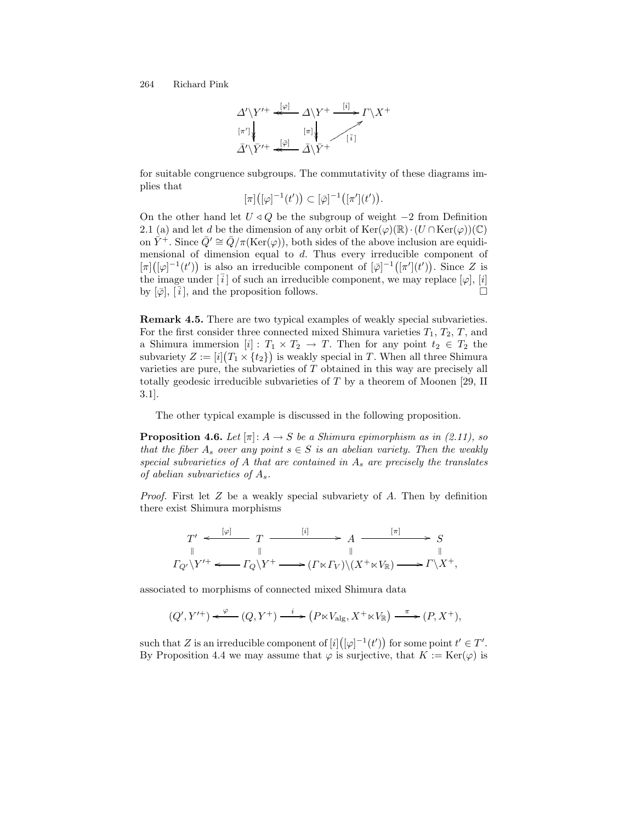$$
\Delta' \ Y'^+ \overset{[\varphi]}{\longleftarrow} \Delta \ Y^+ \overset{[i]}{\longrightarrow} \Gamma \ X^+
$$
\n
$$
\pi' \ \ \downarrow \ \ \overline{A' \ Y'^+ \overset{[\varphi]}{\longleftarrow} \overline{A} \ \ \overline{Y}^+} \ \ \overline{A \ Y^+}
$$

for suitable congruence subgroups. The commutativity of these diagrams implies that

 $[\pi]([\varphi]^{-1}(t')) \subset [\bar{\varphi}]^{-1}([\pi'](t')).$ 

On the other hand let  $U \triangleleft Q$  be the subgroup of weight  $-2$  from Definition 2.1 (a) and let d be the dimension of any orbit of  $\text{Ker}(\varphi)(\mathbb{R})\cdot(U \cap \text{Ker}(\varphi))(\mathbb{C})$ on  $\bar{Y}^+$ . Since  $\bar{Q}' \cong \bar{Q}/\pi(\text{Ker}(\varphi))$ , both sides of the above inclusion are equidimensional of dimension equal to d. Thus every irreducible component of  $[\pi]([\varphi]^{-1}(t'))$  is also an irreducible component of  $[\bar{\varphi}]^{-1}([\pi'](t'))$ . Since Z is the image under  $[\bar{i}]$  of such an irreducible component, we may replace  $[\varphi], [i]$ by  $[\bar{\varphi}], [\bar{i}],$  and the proposition follows.

**Remark 4.5.** There are two typical examples of weakly special subvarieties. For the first consider three connected mixed Shimura varieties  $T_1, T_2, T$ , and a Shimura immersion  $[i] : T_1 \times T_2 \to T$ . Then for any point  $t_2 \in T_2$  the subvariety  $Z := [i](T_1 \times \{t_2\})$  is weakly special in T. When all three Shimura varieties are pure, the subvarieties of T obtained in this way are precisely all totally geodesic irreducible subvarieties of T by a theorem of Moonen [29, II 3.1].

The other typical example is discussed in the following proposition.

**Proposition 4.6.** *Let*  $[\pi]: A \rightarrow S$  *be a Shimura epimorphism as in (2.11), so that the fiber*  $A_s$  *over any point*  $s \in S$  *is an abelian variety. Then the weakly special subvarieties of* A *that are contained in* A<sup>s</sup> *are precisely the translates of abelian subvarieties of* As*.*

*Proof.* First let Z be a weakly special subvariety of A. Then by definition there exist Shimura morphisms

$$
T' \xleftarrow{ [\varphi]} T \xrightarrow{ [i] \qquad \qquad \longrightarrow A \xrightarrow{[\pi]} S
$$
  
\n
$$
\parallel \qquad \qquad \parallel \qquad \qquad \parallel \qquad \qquad \parallel
$$
  
\n
$$
\Gamma_{Q'} \setminus Y'^+ \xleftarrow{T_Q} \Gamma_{Q} \setminus Y^+ \xrightarrow{[T \times T_V]} (\Gamma \times \Gamma_V) \setminus (X^+ \times V_R) \xrightarrow{[T \times T_V]} Y^+,
$$

associated to morphisms of connected mixed Shimura data

$$
(Q',Y'^+) \xleftarrow{\varphi} (Q,Y^+) \xrightarrow{i} (P \ltimes V_{\text{alg}}, X^+ \ltimes V_{\mathbb{R}}) \xrightarrow{\pi} (P, X^+),
$$

such that Z is an irreducible component of  $[i]([\varphi]^{-1}(t'))$  for some point  $t' \in T'.$ By Proposition 4.4 we may assume that  $\varphi$  is surjective, that  $K := \text{Ker}(\varphi)$  is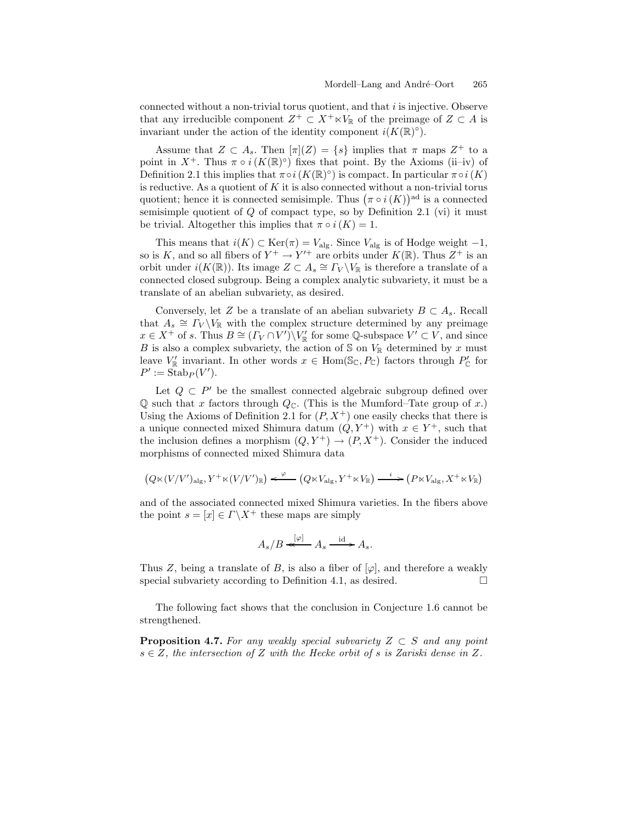connected without a non-trivial torus quotient, and that  $i$  is injective. Observe that any irreducible component  $Z^+ \subset X^+ \ltimes V_{\mathbb{R}}$  of the preimage of  $Z \subset A$  is invariant under the action of the identity component  $i(K(\mathbb{R})\circ)$ .

Assume that  $Z \subset A_s$ . Then  $[\pi](Z) = \{s\}$  implies that  $\pi$  maps  $Z^+$  to a point in  $X^+$ . Thus  $\pi \circ i(K(\mathbb{R})\circ)$  fixes that point. By the Axioms (ii–iv) of Definition 2.1 this implies that  $\pi \circ i(K(\mathbb{R})\circ)$  is compact. In particular  $\pi \circ i(K)$ is reductive. As a quotient of  $K$  it is also connected without a non-trivial torus quotient; hence it is connected semisimple. Thus  $(\pi \circ i(K))^{\text{ad}}$  is a connected semisimple quotient of  $Q$  of compact type, so by Definition 2.1 (vi) it must be trivial. Altogether this implies that  $\pi \circ i(K) = 1$ .

This means that  $i(K) \subset \text{Ker}(\pi) = V_{\text{alg}}$ . Since  $V_{\text{alg}}$  is of Hodge weight -1, so is K, and so all fibers of  $Y^+ \to Y'^+$  are orbits under  $K(\mathbb{R})$ . Thus  $Z^+$  is an orbit under  $i(K(\mathbb{R}))$ . Its image  $Z \subset A_s \cong \Gamma_V \backslash V_{\mathbb{R}}$  is therefore a translate of a connected closed subgroup. Being a complex analytic subvariety, it must be a translate of an abelian subvariety, as desired.

Conversely, let Z be a translate of an abelian subvariety  $B \subset A_s$ . Recall that  $A_s \cong \Gamma_V \backslash V_{\mathbb{R}}$  with the complex structure determined by any preimage  $x \in X^+$  of s. Thus  $B \cong (\Gamma_V \cap V') \backslash V''_{\mathbb{R}}$  for some Q-subspace  $V' \subset V$ , and since B is also a complex subvariety, the action of  $S$  on  $V_{\mathbb{R}}$  determined by x must leave  $V_{\mathbb{R}}'$  invariant. In other words  $x \in \text{Hom}(\mathbb{S}_{\mathbb{C}}, P_{\mathbb{C}})$  factors through  $P_{\mathbb{C}}'$  for  $P' := \text{Stab}_P(V').$ 

Let  $Q \subset P'$  be the smallest connected algebraic subgroup defined over Q such that x factors through  $Q_{\mathbb{C}}$ . (This is the Mumford–Tate group of x.) Using the Axioms of Definition 2.1 for  $(P, X^+)$  one easily checks that there is a unique connected mixed Shimura datum  $(Q, Y^+)$  with  $x \in Y^+$ , such that the inclusion defines a morphism  $(Q, Y^+) \rightarrow (P, X^+)$ . Consider the induced morphisms of connected mixed Shimura data

$$
\left(Q \ltimes (V/V')_{\operatorname{alg}}, Y^+ \ltimes (V/V')_{\mathbb R}\right) \xleftarrow{\varphi} \left(Q \ltimes V_{\operatorname{alg}}, Y^+ \ltimes V_{\mathbb R}\right) \xrightarrow{\quad i} \left(P \ltimes V_{\operatorname{alg}}, X^+ \ltimes V_{\mathbb R}\right)
$$

and of the associated connected mixed Shimura varieties. In the fibers above the point  $s = [x] \in \Gamma \backslash X^+$  these maps are simply

$$
A_s/B \stackrel{[\varphi]}{\longleftarrow} A_s \stackrel{\text{id}}{\longrightarrow} A_s.
$$

Thus Z, being a translate of B, is also a fiber of  $[\varphi]$ , and therefore a weakly special subvariety according to Definition 4.1, as desired.  $\Box$ 

The following fact shows that the conclusion in Conjecture 1.6 cannot be strengthened.

**Proposition 4.7.** For any weakly special subvariety  $Z \subset S$  and any point s ∈ Z*, the intersection of* Z *with the Hecke orbit of* s *is Zariski dense in* Z*.*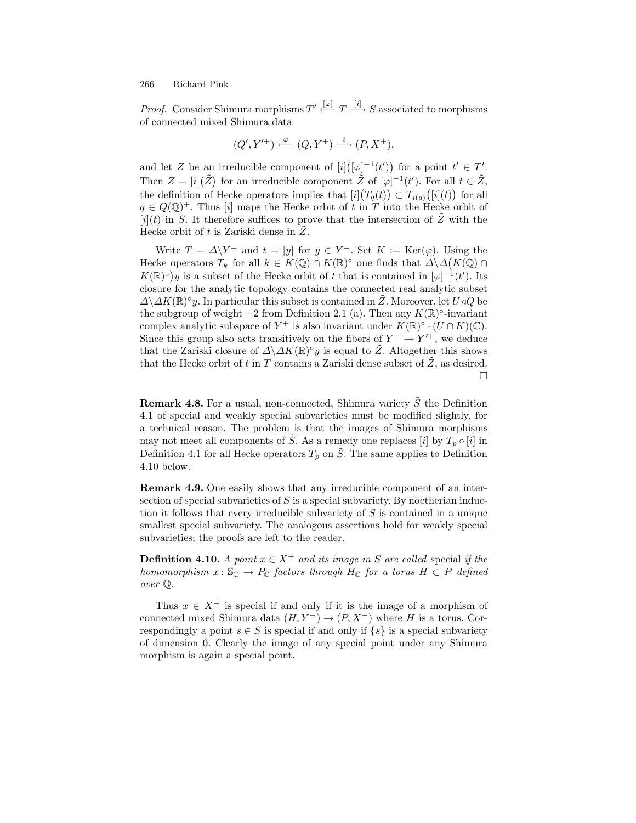*Proof.* Consider Shimura morphisms  $T' \stackrel{[\varphi]}{\leftarrow} T \stackrel{[i]}{\longrightarrow} S$  associated to morphisms of connected mixed Shimura data

$$
(Q',Y'^+)\xleftarrow{\varphi} (Q,Y^+)\xrightarrow{i} (P,X^+),
$$

and let Z be an irreducible component of  $[i]([\varphi]^{-1}(t'))$  for a point  $t' \in T'$ . Then  $Z = [i](\tilde{Z})$  for an irreducible component  $\tilde{Z}$  of  $[\varphi]^{-1}(t')$ . For all  $t \in \tilde{Z}$ , the definition of Hecke operators implies that  $[i](T_q(t)) \subset T_{i(q)}([i](t))$  for all  $q \in Q(\mathbb{Q})^+$ . Thus [i] maps the Hecke orbit of t in T into the Hecke orbit of  $[i](t)$  in S. It therefore suffices to prove that the intersection of Z with the Hecke orbit of  $t$  is Zariski dense in  $Z$ .

Write  $T = \Delta \backslash Y^+$  and  $t = [y]$  for  $y \in Y^+$ . Set  $K := \text{Ker}(\varphi)$ . Using the Hecke operators  $T_k$  for all  $k \in K(\mathbb{Q}) \cap K(\mathbb{R})^{\circ}$  one finds that  $\Delta \backslash \Delta(K(\mathbb{Q}) \cap$  $K(\mathbb{R})^{\circ}$  is a subset of the Hecke orbit of t that is contained in  $[\varphi]^{-1}(t')$ . Its closure for the analytic topology contains the connected real analytic subset  $\Delta \Delta K(\mathbb{R})^{\circ}$ y. In particular this subset is contained in Z. Moreover, let U  $\triangleleft Q$  be the subgroup of weight  $-2$  from Definition 2.1 (a). Then any  $K(\mathbb{R})^{\circ}$ -invariant complex analytic subspace of  $Y^+$  is also invariant under  $K(\mathbb{R})^\circ \cdot (U \cap K)(\mathbb{C})$ . Since this group also acts transitively on the fibers of  $Y^+ \to Y'^+$ , we deduce that the Zariski closure of  $\Delta\Delta K(\mathbb{R})\degree y$  is equal to Z. Altogether this shows that the Hecke orbit of  $t$  in  $T$  contains a Zariski dense subset of  $Z$ , as desired.  $\Box$ 

**Remark 4.8.** For a usual, non-connected, Shimura variety  $\tilde{S}$  the Definition 4.1 of special and weakly special subvarieties must be modified slightly, for a technical reason. The problem is that the images of Shimura morphisms may not meet all components of  $\tilde{S}$ . As a remedy one replaces [i] by  $T_p \circ [i]$  in Definition 4.1 for all Hecke operators  $T_p$  on  $\tilde{S}$ . The same applies to Definition 4.10 below.

**Remark 4.9.** One easily shows that any irreducible component of an intersection of special subvarieties of  $S$  is a special subvariety. By noetherian induction it follows that every irreducible subvariety of S is contained in a unique smallest special subvariety. The analogous assertions hold for weakly special subvarieties; the proofs are left to the reader.

**Definition 4.10.** *A point*  $x \in X^+$  *and its image in* S *are called* special *if the homomorphism*  $x : \mathbb{S}_{\mathbb{C}} \to P_{\mathbb{C}}$  *factors through*  $H_{\mathbb{C}}$  *for a torus*  $H \subset P$  *defined over* Q*.*

Thus  $x \in X^+$  is special if and only if it is the image of a morphism of connected mixed Shimura data  $(H, Y^+) \rightarrow (P, X^+)$  where H is a torus. Correspondingly a point  $s \in S$  is special if and only if  $\{s\}$  is a special subvariety of dimension 0. Clearly the image of any special point under any Shimura morphism is again a special point.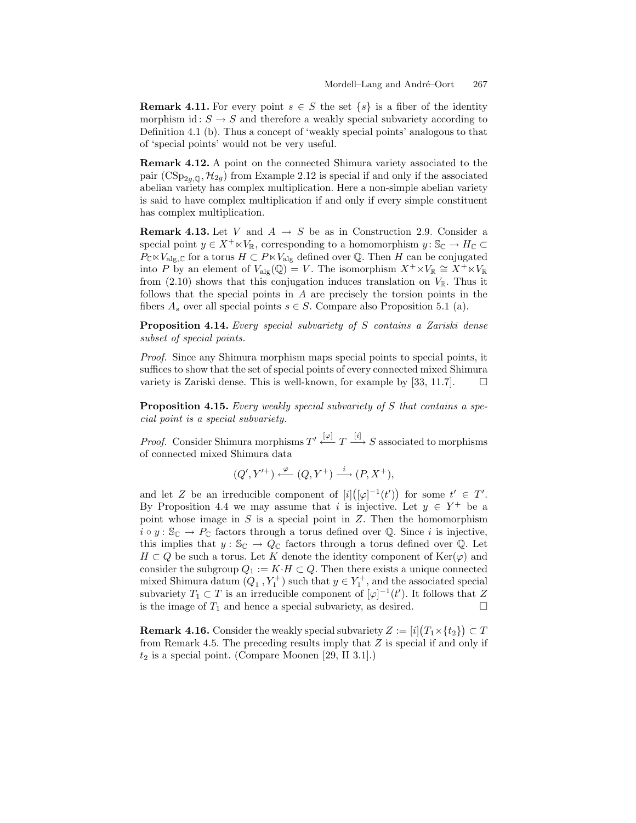**Remark 4.11.** For every point  $s \in S$  the set  $\{s\}$  is a fiber of the identity morphism id:  $S \to S$  and therefore a weakly special subvariety according to Definition 4.1 (b). Thus a concept of 'weakly special points' analogous to that of 'special points' would not be very useful.

**Remark 4.12.** A point on the connected Shimura variety associated to the pair  $(\text{CSp}_{2g,\mathbb{Q}}, \mathcal{H}_{2g})$  from Example 2.12 is special if and only if the associated abelian variety has complex multiplication. Here a non-simple abelian variety is said to have complex multiplication if and only if every simple constituent has complex multiplication.

**Remark 4.13.** Let V and  $A \rightarrow S$  be as in Construction 2.9. Consider a special point  $y \in X^+ \ltimes V_{\mathbb{R}}$ , corresponding to a homomorphism  $y : \mathbb{S}_{\mathbb{C}} \to H_{\mathbb{C}} \subset$  $P_{\mathbb{C}} \ltimes V_{\text{alg},\mathbb{C}}$  for a torus  $H \subset P \ltimes V_{\text{alg}}$  defined over  $\mathbb{Q}$ . Then H can be conjugated into P by an element of  $V_{\text{alg}}(\mathbb{Q}) = V$ . The isomorphism  $X^+ \times V_{\mathbb{R}} \cong X^+ \times V_{\mathbb{R}}$ from (2.10) shows that this conjugation induces translation on  $V_{\mathbb{R}}$ . Thus it follows that the special points in A are precisely the torsion points in the fibers  $A_s$  over all special points  $s \in S$ . Compare also Proposition 5.1 (a).

**Proposition 4.14.** *Every special subvariety of* S *contains a Zariski dense subset of special points.*

*Proof.* Since any Shimura morphism maps special points to special points, it suffices to show that the set of special points of every connected mixed Shimura variety is Zariski dense. This is well-known, for example by [33, 11.7].  $\Box$ 

**Proposition 4.15.** *Every weakly special subvariety of* S *that contains a special point is a special subvariety.*

*Proof.* Consider Shimura morphisms  $T' \stackrel{[\varphi]}{\leftarrow} T \stackrel{[i]}{\longrightarrow} S$  associated to morphisms of connected mixed Shimura data

$$
(Q', Y'^+) \xleftarrow{\varphi} (Q, Y^+) \xrightarrow{i} (P, X^+),
$$

and let Z be an irreducible component of  $[i]([\varphi]^{-1}(t'))$  for some  $t' \in T'$ . By Proposition 4.4 we may assume that i is injective. Let  $y \in Y^+$  be a point whose image in  $S$  is a special point in  $Z$ . Then the homomorphism  $i \circ y : \mathbb{S}_{\mathbb{C}} \to P_{\mathbb{C}}$  factors through a torus defined over Q. Since i is injective, this implies that  $y : \mathbb{S}_{\mathbb{C}} \to Q_{\mathbb{C}}$  factors through a torus defined over Q. Let  $H \subset Q$  be such a torus. Let K denote the identity component of  $\text{Ker}(\varphi)$  and consider the subgroup  $Q_1 := K \cdot H \subset Q$ . Then there exists a unique connected mixed Shimura datum  $(Q_1, Y_1^+)$  such that  $y \in Y_1^+$ , and the associated special subvariety  $T_1 \subset T$  is an irreducible component of  $[\varphi]^{-1}(t')$ . It follows that Z is the image of  $T_1$  and hence a special subvariety, as desired.

**Remark 4.16.** Consider the weakly special subvariety  $Z := [i](T_1 \times \{t_2\}) \subset T$ from Remark 4.5. The preceding results imply that Z is special if and only if  $t_2$  is a special point. (Compare Moonen [29, II 3.1].)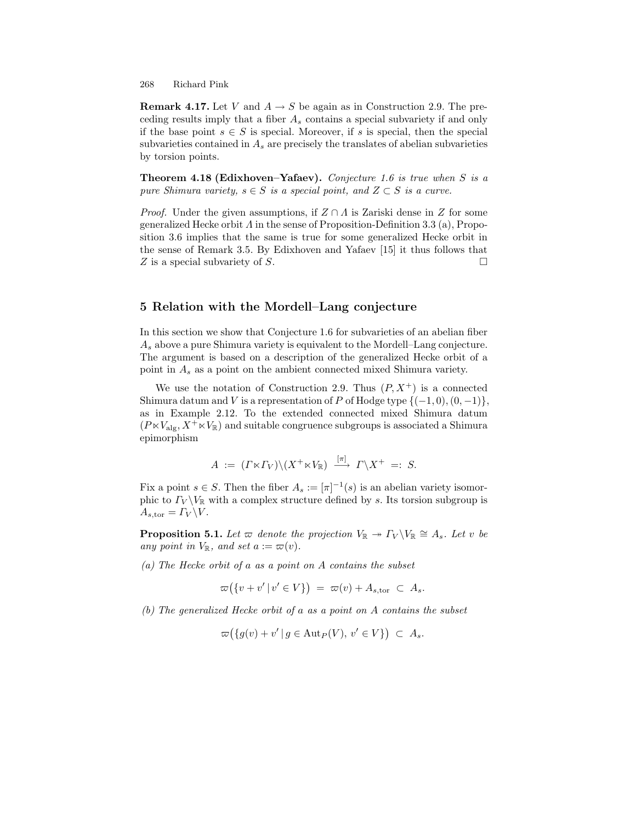**Remark 4.17.** Let V and  $A \rightarrow S$  be again as in Construction 2.9. The preceding results imply that a fiber  $A_s$  contains a special subvariety if and only if the base point  $s \in S$  is special. Moreover, if s is special, then the special subvarieties contained in  $A_s$  are precisely the translates of abelian subvarieties by torsion points.

**Theorem 4.18 (Edixhoven–Yafaev).** *Conjecture 1.6 is true when* S *is a pure Shimura variety,*  $s \in S$  *is a special point, and*  $Z \subset S$  *is a curve.* 

*Proof.* Under the given assumptions, if  $Z \cap A$  is Zariski dense in Z for some generalized Hecke orbit  $\Lambda$  in the sense of Proposition-Definition 3.3 (a), Proposition 3.6 implies that the same is true for some generalized Hecke orbit in the sense of Remark 3.5. By Edixhoven and Yafaev [15] it thus follows that  $Z$  is a special subvariety of  $S$ .  $\Box$ 

# **5 Relation with the Mordell–Lang conjecture**

In this section we show that Conjecture 1.6 for subvarieties of an abelian fiber  $A_s$  above a pure Shimura variety is equivalent to the Mordell–Lang conjecture. The argument is based on a description of the generalized Hecke orbit of a point in  $A_s$  as a point on the ambient connected mixed Shimura variety.

We use the notation of Construction 2.9. Thus  $(P, X^+)$  is a connected Shimura datum and V is a representation of P of Hodge type  $\{(-1,0), (0,-1)\},\$ as in Example 2.12. To the extended connected mixed Shimura datum  $(P \ltimes V_{\text{alg}}, X^+ \ltimes V_{\mathbb{R}})$  and suitable congruence subgroups is associated a Shimura epimorphism

$$
A := (\Gamma \ltimes \Gamma_V) \setminus (X^+ \ltimes V_{\mathbb{R}}) \xrightarrow{[\pi]} \Gamma \setminus X^+ =: S.
$$

Fix a point  $s \in S$ . Then the fiber  $A_s := [\pi]^{-1}(s)$  is an abelian variety isomorphic to  $\Gamma_V \backslash V_{\mathbb{R}}$  with a complex structure defined by s. Its torsion subgroup is  $A_{s,\text{tor}} = \Gamma_V \backslash V.$ 

**Proposition 5.1.** *Let*  $\varpi$  *denote the projection*  $V_{\mathbb{R}} \to \Gamma_V \backslash V_{\mathbb{R}} \cong A_s$ *. Let* v *be any point in*  $V_{\mathbb{R}}$ *, and set a* :=  $\varpi(v)$ *.* 

*(a) The Hecke orbit of* a *as a point on* A *contains the subset*

$$
\varpi(\lbrace v+v' | v' \in V \rbrace) = \varpi(v) + A_{s,\text{tor}} \subset A_s.
$$

*(b) The generalized Hecke orbit of* a *as a point on* A *contains the subset*

$$
\varpi(\lbrace g(v)+v' \mid g \in \mathrm{Aut}_P(V), v' \in V \rbrace) \subset A_s.
$$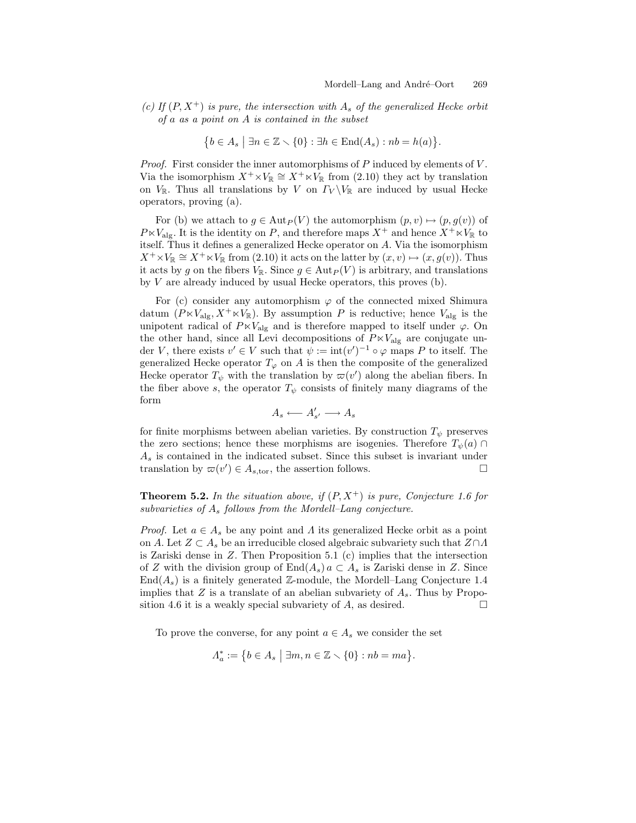*(c)* If  $(P, X^+)$  *is pure, the intersection with*  $A_s$  *of the generalized Hecke orbit of* a *as a point on* A *is contained in the subset*

$$
\{b \in A_s \mid \exists n \in \mathbb{Z} \setminus \{0\} : \exists h \in \text{End}(A_s) : nb = h(a)\}.
$$

*Proof.* First consider the inner automorphisms of P induced by elements of V. Via the isomorphism  $X^+\times V_{\mathbb{R}} \cong X^+\times V_{\mathbb{R}}$  from (2.10) they act by translation on  $V_{\mathbb{R}}$ . Thus all translations by V on  $\Gamma_V \backslash V_{\mathbb{R}}$  are induced by usual Hecke operators, proving (a).

For (b) we attach to  $g \in \text{Aut}_P(V)$  the automorphism  $(p, v) \mapsto (p, g(v))$  of  $P \ltimes V_{\text{alg}}$ . It is the identity on P, and therefore maps  $X^+$  and hence  $X^+ \ltimes V_{\mathbb{R}}$  to itself. Thus it defines a generalized Hecke operator on A. Via the isomorphism  $X^+\times V_{\mathbb{R}} \cong X^+\times V_{\mathbb{R}}$  from (2.10) it acts on the latter by  $(x, v) \mapsto (x, g(v))$ . Thus it acts by g on the fibers  $V_{\mathbb{R}}$ . Since  $g \in \text{Aut}_P(V)$  is arbitrary, and translations by V are already induced by usual Hecke operators, this proves (b).

For (c) consider any automorphism  $\varphi$  of the connected mixed Shimura datum  $(P \ltimes V_{\text{alg}}, X^+ \ltimes V_{\mathbb{R}})$ . By assumption P is reductive; hence  $V_{\text{alg}}$  is the unipotent radical of  $P \ltimes V_{\text{alg}}$  and is therefore mapped to itself under  $\varphi$ . On the other hand, since all Levi decompositions of  $P \times V_{\text{alg}}$  are conjugate under V, there exists  $v' \in V$  such that  $\psi := \text{int}(v')^{-1} \circ \varphi$  maps P to itself. The generalized Hecke operator  $T_{\varphi}$  on A is then the composite of the generalized Hecke operator  $T_{\psi}$  with the translation by  $\varpi(v')$  along the abelian fibers. In the fiber above s, the operator  $T_{\psi}$  consists of finitely many diagrams of the form

$$
A_s \longleftarrow A'_{s'} \longrightarrow A_s
$$

for finite morphisms between abelian varieties. By construction  $T_{\psi}$  preserves the zero sections; hence these morphisms are isogenies. Therefore  $T_{\psi}(a) \cap$  $A<sub>s</sub>$  is contained in the indicated subset. Since this subset is invariant under translation by  $\varpi(v') \in A_{s,\text{tor}}$ , the assertion follows.

**Theorem 5.2.** In the situation above, if  $(P, X^+)$  is pure, Conjecture 1.6 for *subvarieties of* A<sup>s</sup> *follows from the Mordell–Lang conjecture.*

*Proof.* Let  $a \in A_s$  be any point and  $\Lambda$  its generalized Hecke orbit as a point on A. Let  $Z \subset A_s$  be an irreducible closed algebraic subvariety such that  $Z \cap A$ is Zariski dense in Z. Then Proposition 5.1 (c) implies that the intersection of Z with the division group of  $\text{End}(A_s)$   $a \subset A_s$  is Zariski dense in Z. Since  $\text{End}(A_s)$  is a finitely generated Z-module, the Mordell–Lang Conjecture 1.4 implies that  $Z$  is a translate of an abelian subvariety of  $A_s$ . Thus by Proposition 4.6 it is a weakly special subvariety of  $A$ , as desired.  $\Box$ 

To prove the converse, for any point  $a \in A_s$  we consider the set

$$
\Lambda_a^* := \{ b \in A_s \mid \exists m, n \in \mathbb{Z} \setminus \{0\} : nb = ma \}.
$$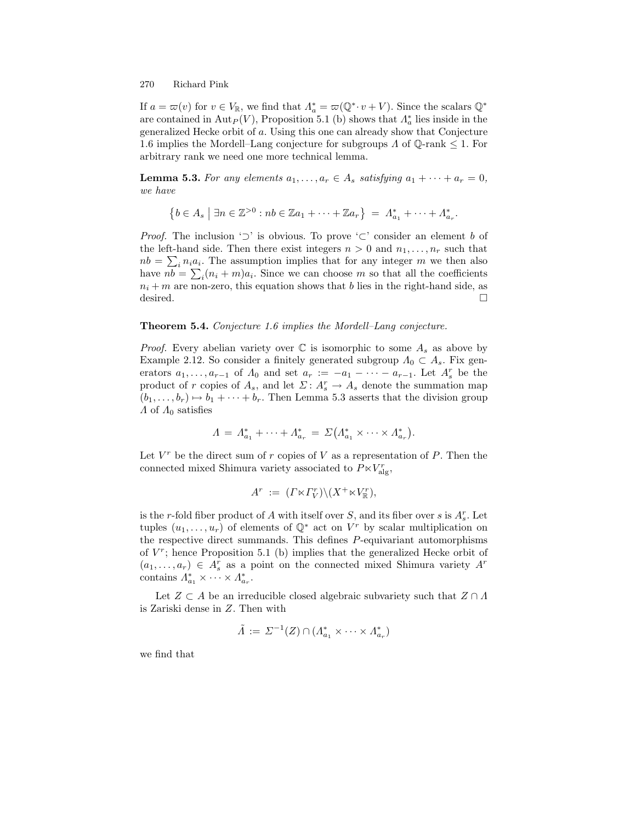If  $a = \varpi(v)$  for  $v \in V_{\mathbb{R}}$ , we find that  $\Lambda_a^* = \varpi(\mathbb{Q}^* \cdot v + V)$ . Since the scalars  $\mathbb{Q}^*$ are contained in  $\text{Aut}_P(V)$ , Proposition 5.1 (b) shows that  $\Lambda_a^*$  lies inside in the generalized Hecke orbit of a. Using this one can already show that Conjecture 1.6 implies the Mordell–Lang conjecture for subgroups  $\Lambda$  of  $\mathbb{Q}\text{-rank} \leq 1$ . For arbitrary rank we need one more technical lemma.

**Lemma 5.3.** *For any elements*  $a_1, \ldots, a_r \in A_s$  *satisfying*  $a_1 + \cdots + a_r = 0$ *, we have*

$$
\{b \in A_s \mid \exists n \in \mathbb{Z}^{>0} : nb \in \mathbb{Z}a_1 + \cdots + \mathbb{Z}a_r\} = \Lambda_{a_1}^* + \cdots + \Lambda_{a_r}^*.
$$

*Proof.* The inclusion ' $\supset$ ' is obvious. To prove ' $\subset$ ' consider an element b of the left-hand side. Then there exist integers  $n > 0$  and  $n_1, \ldots, n_r$  such that  $nb = \sum_{i} n_i a_i$ . The assumption implies that for any integer m we then also have  $nb = \sum_i (n_i + m)a_i$ . Since we can choose m so that all the coefficients  $n_i + m$  are non-zero, this equation shows that b lies in the right-hand side, as desired.  $\Box$ 

### **Theorem 5.4.** *Conjecture 1.6 implies the Mordell–Lang conjecture.*

*Proof.* Every abelian variety over  $\mathbb C$  is isomorphic to some  $A_s$  as above by Example 2.12. So consider a finitely generated subgroup  $\Lambda_0 \subset A_s$ . Fix generators  $a_1, \ldots, a_{r-1}$  of  $\Lambda_0$  and set  $a_r := -a_1 - \cdots - a_{r-1}$ . Let  $A_s^r$  be the product of r copies of  $A_s$ , and let  $\Sigma: A_s^r \to A_s$  denote the summation map  $(b_1,\ldots,b_r) \mapsto b_1+\cdots+b_r$ . Then Lemma 5.3 asserts that the division group  $\Lambda$  of  $\Lambda_0$  satisfies

$$
\Lambda = \Lambda_{a_1}^* + \cdots + \Lambda_{a_r}^* = \Sigma (\Lambda_{a_1}^* \times \cdots \times \Lambda_{a_r}^*).
$$

Let  $V^r$  be the direct sum of r copies of V as a representation of P. Then the connected mixed Shimura variety associated to  $P \ltimes V_{\text{alg}}^r$ ,

$$
A^r := (\Gamma \ltimes \Gamma_V^r) \setminus (X^+ \ltimes V_{\mathbb{R}}^r),
$$

is the *r*-fold fiber product of A with itself over S, and its fiber over s is  $A_s^r$ . Let tuples  $(u_1,\ldots,u_r)$  of elements of  $\mathbb{Q}^*$  act on  $V^r$  by scalar multiplication on the respective direct summands. This defines P-equivariant automorphisms of  $V^r$ ; hence Proposition 5.1 (b) implies that the generalized Hecke orbit of  $(a_1, \ldots, a_r) \in A_s^r$  as a point on the connected mixed Shimura variety  $A^r$ contains  $\Lambda_{a_1}^* \times \cdots \times \Lambda_{a_r}^*$ .

Let  $Z \subset A$  be an irreducible closed algebraic subvariety such that  $Z \cap A$ is Zariski dense in Z. Then with

$$
\tilde{\Lambda} := \Sigma^{-1}(Z) \cap (\Lambda_{a_1}^* \times \cdots \times \Lambda_{a_r}^*)
$$

we find that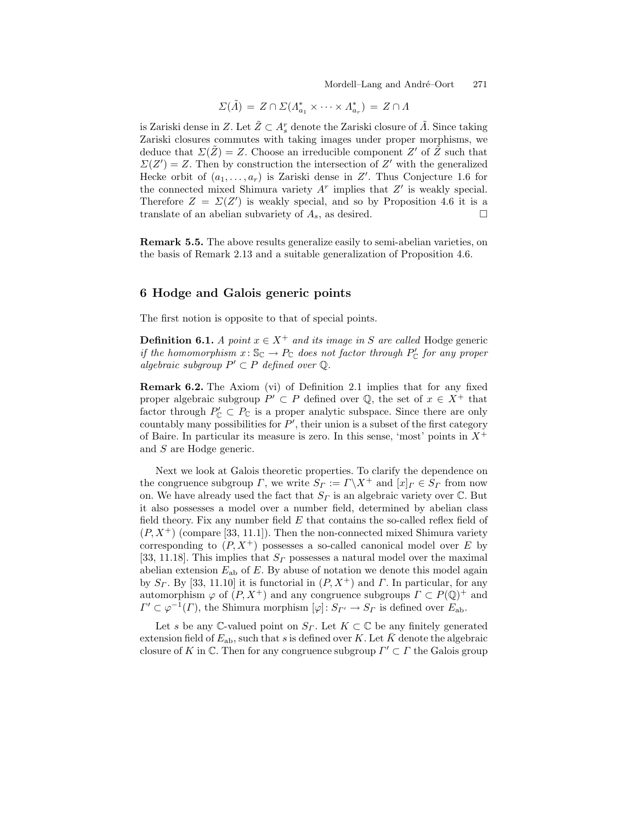Mordell–Lang and André–Oort 271

$$
\Sigma(\tilde{\Lambda}) = Z \cap \Sigma(\Lambda^*_{a_1} \times \cdots \times \Lambda^*_{a_r}) = Z \cap \Lambda
$$

is Zariski dense in Z. Let  $\tilde{Z} \subset A_s^r$  denote the Zariski closure of  $\tilde{A}$ . Since taking Zariski closures commutes with taking images under proper morphisms, we deduce that  $\Sigma(\tilde{Z}) = Z$ . Choose an irreducible component Z' of  $\tilde{Z}$  such that  $\Sigma(Z') = Z$ . Then by construction the intersection of Z' with the generalized Hecke orbit of  $(a_1, \ldots, a_r)$  is Zariski dense in Z'. Thus Conjecture 1.6 for the connected mixed Shimura variety  $A<sup>r</sup>$  implies that  $Z'$  is weakly special. Therefore  $Z = \Sigma(Z')$  is weakly special, and so by Proposition 4.6 it is a translate of an abelian subvariety of  $A_s$ , as desired.  $\Box$ 

**Remark 5.5.** The above results generalize easily to semi-abelian varieties, on the basis of Remark 2.13 and a suitable generalization of Proposition 4.6.

# **6 Hodge and Galois generic points**

The first notion is opposite to that of special points.

**Definition 6.1.** *A point*  $x \in X^+$  *and its image in* S *are called* Hodge generic *if the homomorphism*  $x: \mathbb{S}_{\mathbb{C}} \to P_{\mathbb{C}}$  *does not factor through*  $P'_{\mathbb{C}}$  *for any proper algebraic subgroup*  $P' \subset P$  *defined over*  $\mathbb{Q}$ *.* 

**Remark 6.2.** The Axiom (vi) of Definition 2.1 implies that for any fixed proper algebraic subgroup  $P' \subset P$  defined over Q, the set of  $x \in X^+$  that factor through  $P'_{\mathbb{C}} \subset P_{\mathbb{C}}$  is a proper analytic subspace. Since there are only  $\alpha$  countably many possibilities for  $P'$ , their union is a subset of the first category of Baire. In particular its measure is zero. In this sense, 'most' points in  $X^+$ and S are Hodge generic.

Next we look at Galois theoretic properties. To clarify the dependence on the congruence subgroup  $\Gamma$ , we write  $S_{\Gamma} := \Gamma \backslash X^+$  and  $[x]_{\Gamma} \in S_{\Gamma}$  from now on. We have already used the fact that  $S_{\Gamma}$  is an algebraic variety over C. But it also possesses a model over a number field, determined by abelian class field theory. Fix any number field  $E$  that contains the so-called reflex field of  $(P, X^+)$  (compare [33, 11.1]). Then the non-connected mixed Shimura variety corresponding to  $(P, X^+)$  possesses a so-called canonical model over E by [33, 11.18]. This implies that  $S_{\Gamma}$  possesses a natural model over the maximal abelian extension  $E_{ab}$  of E. By abuse of notation we denote this model again by  $S_r$ . By [33, 11.10] it is functorial in  $(P, X^+)$  and  $\Gamma$ . In particular, for any automorphism  $\varphi$  of  $(P, X^+)$  and any congruence subgroups  $\Gamma \subset P(\mathbb{Q})^+$  and  $\Gamma' \subset \varphi^{-1}(\Gamma)$ , the Shimura morphism  $[\varphi] \colon S_{\Gamma'} \to S_{\Gamma}$  is defined over  $E_{ab}$ .

Let s be any  $\mathbb{C}\text{-valued point on } S_\Gamma$ . Let  $K \subset \mathbb{C}$  be any finitely generated extension field of  $E_{ab}$ , such that s is defined over K. Let K denote the algebraic closure of K in C. Then for any congruence subgroup  $\Gamma' \subset \Gamma$  the Galois group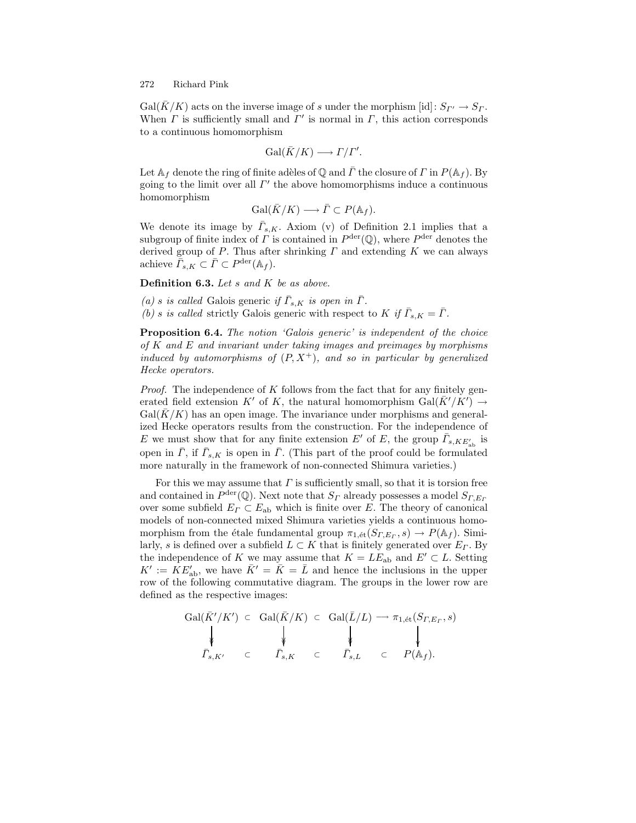$Gal(\bar{K}/K)$  acts on the inverse image of s under the morphism [id]:  $S_{\Gamma'} \to S_{\Gamma}$ . When  $\Gamma$  is sufficiently small and  $\Gamma'$  is normal in  $\Gamma$ , this action corresponds to a continuous homomorphism

$$
\operatorname{Gal}(\bar{K}/K)\longrightarrow \varGamma/\varGamma'.
$$

Let  $A_f$  denote the ring of finite adèles of Q and  $\overline{\Gamma}$  the closure of  $\Gamma$  in  $P(A_f)$ . By going to the limit over all  $\Gamma'$  the above homomorphisms induce a continuous homomorphism

$$
\operatorname{Gal}(\bar{K}/K) \longrightarrow \bar{\Gamma} \subset P(\mathbb{A}_f).
$$

We denote its image by  $\bar{\Gamma}_{s,K}$ . Axiom (v) of Definition 2.1 implies that a subgroup of finite index of  $\Gamma$  is contained in  $P^{\text{der}}(\mathbb{Q})$ , where  $P^{\text{der}}$  denotes the derived group of P. Thus after shrinking  $\Gamma$  and extending  $K$  we can always achieve  $\overline{\overline{\Gamma}}_{s,K} \subset \overline{\Gamma} \subset P^{\text{der}}(\mathbb{A}_f).$ 

**Definition 6.3.** *Let* s *and* K *be as above.*

*(a) s is called* Galois generic *if*  $\bar{\Gamma}_{s,K}$  *is open in*  $\bar{\Gamma}$ *. (b) s is called* strictly Galois generic with respect to K if  $\overline{\Gamma}_{s,K} = \overline{\Gamma}$ *.* 

**Proposition 6.4.** *The notion 'Galois generic' is independent of the choice of* K *and* E *and invariant under taking images and preimages by morphisms induced by automorphisms of*  $(P, X^+)$ *, and so in particular by generalized Hecke operators.*

*Proof.* The independence of K follows from the fact that for any finitely generated field extension K' of K, the natural homomorphism  $Gal(\bar{K}'/K') \rightarrow$  $Gal(K/K)$  has an open image. The invariance under morphisms and generalized Hecke operators results from the construction. For the independence of E we must show that for any finite extension  $E'$  of E, the group  $\overline{\Gamma}_{s,KE'_{ab}}$  is open in  $\bar{\Gamma}$ , if  $\bar{\Gamma}_{s,K}$  is open in  $\bar{\Gamma}$ . (This part of the proof could be formulated more naturally in the framework of non-connected Shimura varieties.)

For this we may assume that  $\Gamma$  is sufficiently small, so that it is torsion free and contained in  $P^{\text{der}}(\mathbb{Q})$ . Next note that  $S_{\Gamma}$  already possesses a model  $S_{\Gamma,E_{\Gamma}}$ over some subfield  $E_{\Gamma} \subset E_{ab}$  which is finite over E. The theory of canonical models of non-connected mixed Shimura varieties yields a continuous homomorphism from the étale fundamental group  $\pi_{1,\'{e}t}(S_{T,Er}, s) \to P(\mathbb{A}_f)$ . Similarly, s is defined over a subfield  $L \subset K$  that is finitely generated over  $E_{\Gamma}$ . By the independence of K we may assume that  $K = LE_{ab}$  and  $E' \subset L$ . Setting  $K' := \overline{K} E'_{ab}$ , we have  $\overline{K} = \overline{K} = \overline{L}$  and hence the inclusions in the upper row of the following commutative diagram. The groups in the lower row are defined as the respective images:

$$
\begin{array}{ccc}\n\operatorname{Gal}(\bar{K}'/K') & \subset & \operatorname{Gal}(\bar{K}/K) \subset & \operatorname{Gal}(\bar{L}/L) \longrightarrow \pi_{1,\text{\'et}}(S_{\varGamma,E_\varGamma},s) \\
\downarrow & & \downarrow & & \downarrow & \\
\bar{\varGamma}_{s,K'} & \subset & \bar{\varGamma}_{s,K} \subset & \bar{\varGamma}_{s,L} \subset & P(\mathbb{A}_f).\n\end{array}
$$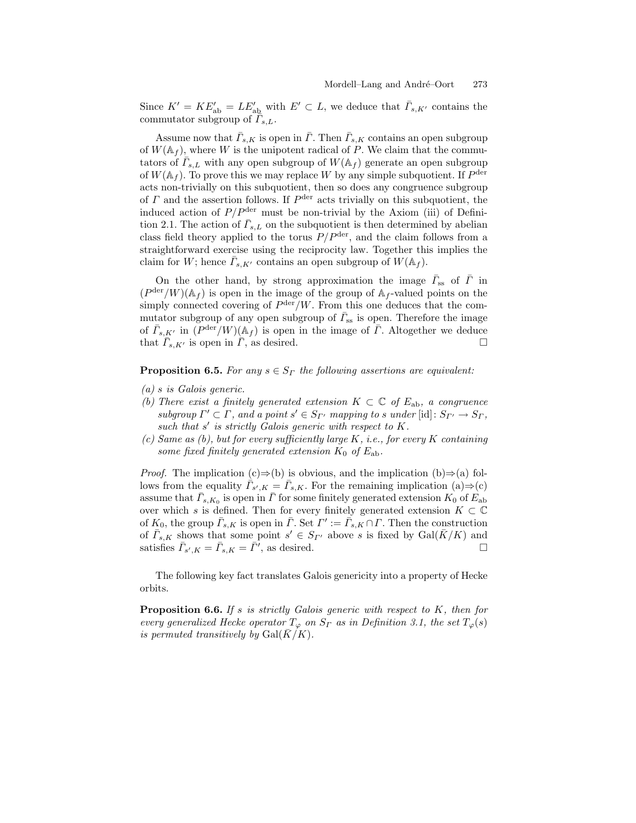Since  $K' = KE'_{ab} = LE'_{ab}$  with  $E' \subset L$ , we deduce that  $\bar{\Gamma}_{s,K'}$  contains the commutator subgroup of  $\bar{\Gamma}_{s,L}$ .

Assume now that  $\bar{\Gamma}_{s,K}$  is open in  $\bar{\Gamma}$ . Then  $\bar{\Gamma}_{s,K}$  contains an open subgroup of  $W(\mathbb{A}_f)$ , where W is the unipotent radical of P. We claim that the commutators of  $\overline{\Gamma}_{s,L}$  with any open subgroup of  $W(\mathbb{A}_f)$  generate an open subgroup of  $W(\mathbb{A}_f)$ . To prove this we may replace W by any simple subquotient. If  $P^{\text{der}}$ acts non-trivially on this subquotient, then so does any congruence subgroup of  $\Gamma$  and the assertion follows. If  $P^{\text{der}}$  acts trivially on this subquotient, the induced action of  $P/P<sup>der</sup>$  must be non-trivial by the Axiom (iii) of Definition 2.1. The action of  $\bar{\Gamma}_{s,L}$  on the subquotient is then determined by abelian class field theory applied to the torus  $P/P^{\text{der}}$ , and the claim follows from a straightforward exercise using the reciprocity law. Together this implies the claim for W; hence  $\Gamma_{s,K'}$  contains an open subgroup of  $W(\mathbb{A}_f)$ .

On the other hand, by strong approximation the image  $\bar{\Gamma}_{ss}$  of  $\bar{\Gamma}$  in  $(P^{\text{der}}/W)(A_f)$  is open in the image of the group of  $A_f$ -valued points on the simply connected covering of  $P^{\text{der}}/W$ . From this one deduces that the commutator subgroup of any open subgroup of  $\bar{\Gamma}_{ss}$  is open. Therefore the image of  $\bar{\Gamma}_{s,K'}$  in  $(P^{\text{der}}/W)(\mathbb{A}_f)$  is open in the image of  $\bar{\Gamma}$ . Altogether we deduce that  $\overline{\Gamma}_{s,K'}$  is open in  $\overline{\Gamma}$ , as desired.

**Proposition 6.5.** For any  $s \in S_\Gamma$  the following assertions are equivalent:

- *(a)* s *is Galois generic.*
- *(b)* There exist a finitely generated extension  $K \subset \mathbb{C}$  of  $E_{ab}$ , a congruence *subgroup*  $\Gamma' \subset \Gamma$ , and a point  $s' \in S_{\Gamma'}$  mapping to s under [id]:  $S_{\Gamma'} \to S_{\Gamma}$ , *such that* s' *is strictly Galois generic with respect to* K.
- *(c) Same as (b), but for every sufficiently large* K*, i.e., for every* K *containing some fixed finitely generated extension*  $K_0$  *of*  $E_{ab}$ *.*

*Proof.* The implication  $(c) \Rightarrow (b)$  is obvious, and the implication  $(b) \Rightarrow (a)$  follows from the equality  $\bar{\Gamma}_{s',K} = \bar{\Gamma}_{s,K}$ . For the remaining implication (a)⇒(c) assume that  $\bar{\Gamma}_{s,K_0}$  is open in  $\bar{\Gamma}$  for some finitely generated extension  $K_0$  of  $E_{ab}$ over which s is defined. Then for every finitely generated extension  $K \subset \mathbb{C}$ of  $K_0$ , the group  $\bar{\Gamma}_{s,K}$  is open in  $\bar{\Gamma}$ . Set  $\Gamma' := \bar{\Gamma}_{s,K} \cap \Gamma$ . Then the construction of  $\bar{\Gamma}_{s,K}$  shows that some point  $s' \in S_{\Gamma'}$  above s is fixed by  $Gal(\bar{K}/K)$  and satisfies  $\bar{\Gamma}_{s',K} = \bar{\Gamma}_{s,K} = \bar{\Gamma'}$ , as desired.  $\Box$ 

The following key fact translates Galois genericity into a property of Hecke orbits.

**Proposition 6.6.** *If* s *is strictly Galois generic with respect to* K*, then for every generalized Hecke operator*  $T_{\varphi}$  *on*  $S_{\Gamma}$  *as in Definition 3.1, the set*  $T_{\varphi}(s)$ *is permuted transitively by*  $Gal(\overline{K}/K)$ *.*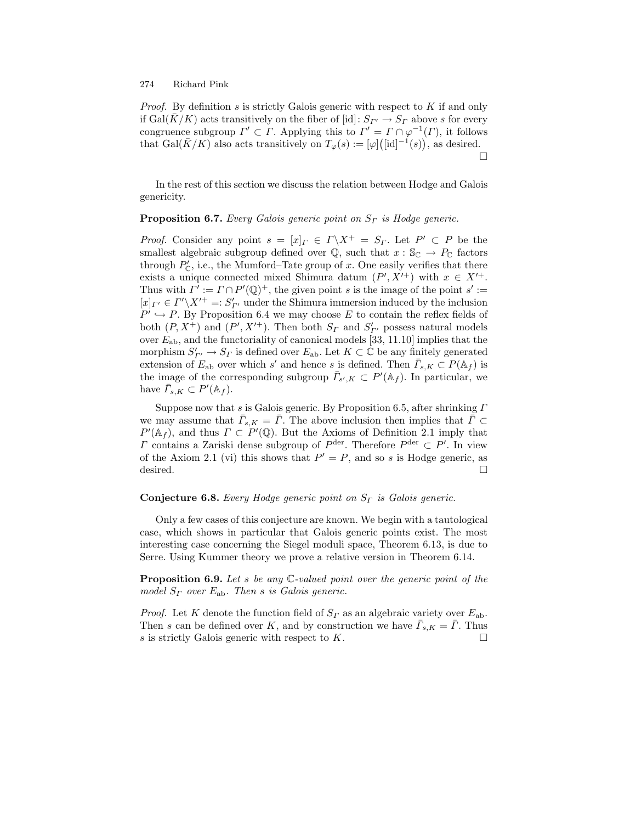*Proof.* By definition s is strictly Galois generic with respect to K if and only if Gal( $\bar{K}/K$ ) acts transitively on the fiber of [id]:  $S_{\Gamma} \rightarrow S_{\Gamma}$  above s for every congruence subgroup  $\Gamma' \subset \Gamma$ . Applying this to  $\Gamma' = \Gamma \cap \varphi^{-1}(\Gamma)$ , it follows that Gal( $\bar{K}/K$ ) also acts transitively on  $T_{\varphi}(s) := [\varphi] ([\mathrm{id}]^{-1}(s)),$  as desired.  $\Box$ 

In the rest of this section we discuss the relation between Hodge and Galois genericity.

### **Proposition 6.7.** *Every Galois generic point on*  $S_r$  *is Hodge generic.*

*Proof.* Consider any point  $s = [x]_T \in \Gamma \backslash X^+ = S_T$ . Let  $P' \subset P$  be the smallest algebraic subgroup defined over  $\mathbb{Q}$ , such that  $x : \mathbb{S}_{\mathbb{C}} \to P_{\mathbb{C}}$  factors through  $P'_{\mathbb{C}}$ , i.e., the Mumford–Tate group of x. One easily verifies that there exists a unique connected mixed Shimura datum  $(P', X'^+)$  with  $x \in X'^+$ . Thus with  $\Gamma' := \Gamma \cap P'(\mathbb{Q})^+$ , the given point s is the image of the point s' :=  $[x]_{\Gamma'} \in \Gamma' \backslash X'^{+} =: S'_{\Gamma'}$  under the Shimura immersion induced by the inclusion  $P' \hookrightarrow P$ . By Proposition 6.4 we may choose E to contain the reflex fields of both  $(P, X^+)$  and  $(P', X'^+)$ . Then both  $S_{\Gamma}$  and  $S'_{\Gamma'}$  possess natural models over  $E_{ab}$ , and the functoriality of canonical models [33, 11.10] implies that the morphism  $S'_{\Gamma'} \to S_{\Gamma}$  is defined over  $E_{ab}$ . Let  $K \subset \mathbb{C}$  be any finitely generated extension of  $E_{ab}$  over which s' and hence s is defined. Then  $\overline{\Gamma}_{s,K} \subset P(\mathbb{A}_f)$  is the image of the corresponding subgroup  $\bar{\Gamma}_{s',K} \subset P'(\mathbb{A}_f)$ . In particular, we have  $\overline{\Gamma}_{s,K} \subset P'(\mathbb{A}_f)$ .

Suppose now that s is Galois generic. By Proposition 6.5, after shrinking  $\Gamma$ we may assume that  $\bar{\Gamma}_{s,K} = \bar{\Gamma}$ . The above inclusion then implies that  $\bar{\Gamma} \subset$  $P'(\mathbb{A}_f)$ , and thus  $\Gamma \subset P'(\mathbb{Q})$ . But the Axioms of Definition 2.1 imply that  $\Gamma$  contains a Zariski dense subgroup of  $P^{\text{der}}$ . Therefore  $P^{\text{der}} \subset P'$ . In view of the Axiom 2.1 (vi) this shows that  $P' = P$ , and so s is Hodge generic, as desired.  $\Box$ 

### **Conjecture 6.8.** *Every Hodge generic point on*  $S_{\Gamma}$  *is Galois generic.*

Only a few cases of this conjecture are known. We begin with a tautological case, which shows in particular that Galois generic points exist. The most interesting case concerning the Siegel moduli space, Theorem 6.13, is due to Serre. Using Kummer theory we prove a relative version in Theorem 6.14.

**Proposition 6.9.** *Let* s *be any* C*-valued point over the generic point of the model*  $S_{\Gamma}$  *over*  $E_{ab}$ *. Then s is Galois generic.* 

*Proof.* Let K denote the function field of  $S<sub>\Gamma</sub>$  as an algebraic variety over  $E<sub>ab</sub>$ . Then s can be defined over K, and by construction we have  $\overline{\Gamma}_{s,K} = \overline{\Gamma}$ . Thus s is strictly Galois generic with respect to  $K$ .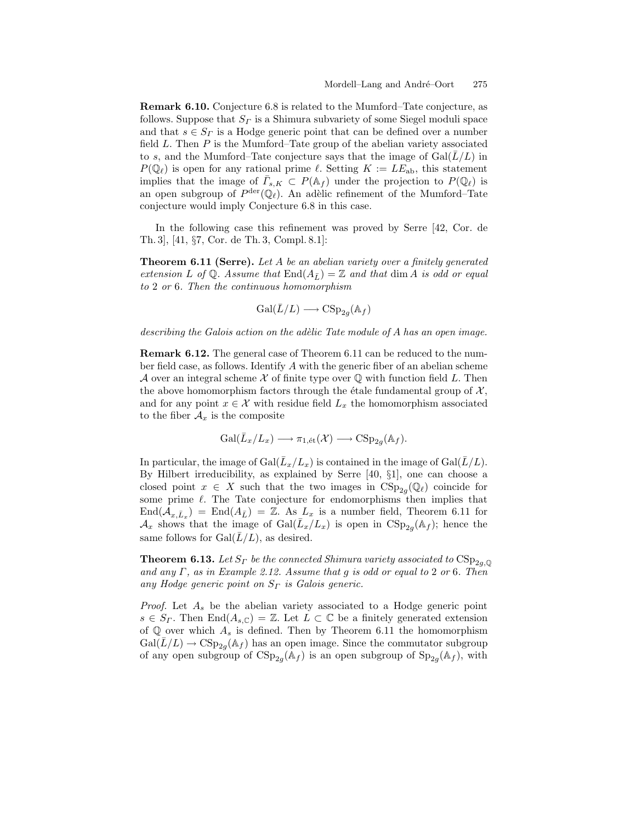**Remark 6.10.** Conjecture 6.8 is related to the Mumford–Tate conjecture, as follows. Suppose that  $S<sub>\Gamma</sub>$  is a Shimura subvariety of some Siegel moduli space and that  $s \in S_r$  is a Hodge generic point that can be defined over a number field  $L$ . Then  $P$  is the Mumford–Tate group of the abelian variety associated to s, and the Mumford–Tate conjecture says that the image of  $Gal(L/L)$  in  $P(\mathbb{Q}_{\ell})$  is open for any rational prime  $\ell$ . Setting  $K := LE_{ab}$ , this statement implies that the image of  $\Gamma_{s,K} \subset P(\mathbb{A}_f)$  under the projection to  $P(\mathbb{Q}_\ell)$  is an open subgroup of  $P^{\text{der}}(\mathbb{Q}_{\ell})$ . An adèlic refinement of the Mumford–Tate conjecture would imply Conjecture 6.8 in this case.

In the following case this refinement was proved by Serre [42, Cor. de Th. 3], [41, §7, Cor. de Th. 3, Compl. 8.1]:

**Theorem 6.11 (Serre).** *Let* A *be an abelian variety over a finitely generated extension* L of Q. Assume that  $\text{End}(A_{\bar{L}}) = \mathbb{Z}$  and that dim A is odd or equal *to* 2 *or* 6*. Then the continuous homomorphism*

$$
\operatorname{Gal}(\bar{L}/L) \longrightarrow \operatorname{CSp}_{2g}(\mathbb{A}_f)
$$

*describing the Galois action on the ad`elic Tate module of* A *has an open image.*

**Remark 6.12.** The general case of Theorem 6.11 can be reduced to the number field case, as follows. Identify A with the generic fiber of an abelian scheme A over an integral scheme X of finite type over  $\mathbb Q$  with function field L. Then the above homomorphism factors through the étale fundamental group of  $\mathcal{X},$ and for any point  $x \in \mathcal{X}$  with residue field  $L_x$  the homomorphism associated to the fiber  $A_x$  is the composite

$$
\mathrm{Gal}(\bar{L}_x/L_x) \longrightarrow \pi_{1,\mathrm{\acute{e}t}}(\mathcal{X}) \longrightarrow \mathrm{CSp}_{2g}(\mathbb{A}_f).
$$

In particular, the image of Gal( $\bar{L}_x/L_x$ ) is contained in the image of Gal( $\bar{L}/L$ ). By Hilbert irreducibility, as explained by Serre [40, §1], one can choose a closed point  $x \in X$  such that the two images in  $CSp_{2g}(\mathbb{Q}_\ell)$  coincide for some prime  $\ell$ . The Tate conjecture for endomorphisms then implies that  $\text{End}(\mathcal{A}_{x,\bar{L}_x}) = \text{End}(A_{\bar{L}}) = \mathbb{Z}$ . As  $L_x$  is a number field, Theorem 6.11 for  $\mathcal{A}_x$  shows that the image of  $Gal(\bar{L}_x/L_x)$  is open in  $CSp_{2g}(\mathbb{A}_f)$ ; hence the same follows for  $Gal(\overline{L}/L)$ , as desired.

**Theorem 6.13.** *Let*  $S_r$  *be the connected Shimura variety associated to*  $CSp_{2q, \mathbb{Q}}$ *and any* Γ*, as in Example 2.12. Assume that* g *is odd or equal to* 2 *or* 6*. Then any Hodge generic point on*  $S_\Gamma$  *is Galois generic.* 

*Proof.* Let  $A_s$  be the abelian variety associated to a Hodge generic point  $s \in S_{\Gamma}$ . Then End $(A_{s,\mathbb{C}}) = \mathbb{Z}$ . Let  $L \subset \mathbb{C}$  be a finitely generated extension of  $\mathbb Q$  over which  $A_s$  is defined. Then by Theorem 6.11 the homomorphism  $Gal(\overline{L}/L) \rightarrow CSp_{2q}(\mathbb{A}_f)$  has an open image. Since the commutator subgroup of any open subgroup of  $CSp_{2g}(\mathbb{A}_f)$  is an open subgroup of  $Sp_{2g}(\mathbb{A}_f)$ , with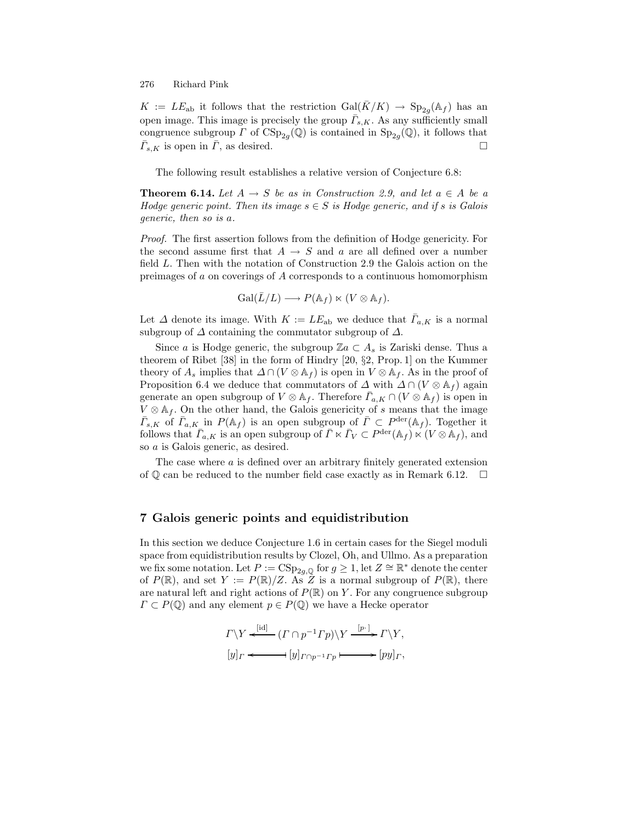$K := LE_{ab}$  it follows that the restriction  $Gal(\bar{K}/K) \rightarrow Sp_{2q}(\mathbb{A}_f)$  has an open image. This image is precisely the group  $\bar{\Gamma}_{s,K}$ . As any sufficiently small congruence subgroup  $\Gamma$  of  $CSp_{2q}(\mathbb{Q})$  is contained in  $Sp_{2q}(\mathbb{Q})$ , it follows that  $\overline{\Gamma}_{s,K}$  is open in  $\overline{\Gamma}$ , as desired.  $\Box$ 

The following result establishes a relative version of Conjecture 6.8:

**Theorem 6.14.** *Let*  $A \rightarrow S$  *be as in Construction 2.9, and let*  $a \in A$  *be a Hodge generic point. Then its image*  $s \in S$  *is Hodge generic, and if* s *is Galois generic, then so is* a*.*

*Proof.* The first assertion follows from the definition of Hodge genericity. For the second assume first that  $A \rightarrow S$  and a are all defined over a number field L. Then with the notation of Construction 2.9 the Galois action on the preimages of a on coverings of A corresponds to a continuous homomorphism

$$
\operatorname{Gal}(\bar{L}/L) \longrightarrow P(\mathbb{A}_f) \ltimes (V \otimes \mathbb{A}_f).
$$

Let  $\Delta$  denote its image. With  $K := LE_{ab}$  we deduce that  $\bar{\Gamma}_{a,K}$  is a normal subgroup of  $\Delta$  containing the commutator subgroup of  $\Delta$ .

Since a is Hodge generic, the subgroup  $\mathbb{Z}a \subset A_s$  is Zariski dense. Thus a theorem of Ribet [38] in the form of Hindry [20, §2, Prop. 1] on the Kummer theory of  $A_s$  implies that  $\Delta \cap (V \otimes A_f)$  is open in  $V \otimes A_f$ . As in the proof of Proposition 6.4 we deduce that commutators of  $\Delta$  with  $\Delta \cap (V \otimes A_f)$  again generate an open subgroup of  $V \otimes A_f$ . Therefore  $\Gamma_{a,K} \cap (V \otimes A_f)$  is open in  $V \otimes A_f$ . On the other hand, the Galois genericity of s means that the image  $\bar{\Gamma}_{s,K}$  of  $\bar{\Gamma}_{a,K}$  in  $P(\mathbb{A}_f)$  is an open subgroup of  $\bar{\Gamma} \subset P^{\text{der}}(\mathbb{A}_f)$ . Together it follows that  $\bar{\Gamma}_{a,K}$  is an open subgroup of  $\bar{\Gamma} \ltimes \bar{\Gamma}_V \subset P^{\text{der}}(\mathbb{A}_f) \ltimes (V \otimes \mathbb{A}_f)$ , and so a is Galois generic, as desired.

The case where  $a$  is defined over an arbitrary finitely generated extension of  $\mathbb Q$  can be reduced to the number field case exactly as in Remark 6.12.  $\Box$ 

### **7 Galois generic points and equidistribution**

In this section we deduce Conjecture 1.6 in certain cases for the Siegel moduli space from equidistribution results by Clozel, Oh, and Ullmo. As a preparation we fix some notation. Let  $P := \text{CSp}_{2g,\mathbb{Q}}$  for  $g \geq 1$ , let  $Z \cong \mathbb{R}^*$  denote the center of  $P(\mathbb{R})$ , and set  $Y := P(\mathbb{R})/Z$ . As  $Z$  is a normal subgroup of  $P(\mathbb{R})$ , there are natural left and right actions of  $P(\mathbb{R})$  on Y. For any congruence subgroup  $\Gamma \subset P(\mathbb{Q})$  and any element  $p \in P(\mathbb{Q})$  we have a Hecke operator

$$
\Gamma \backslash Y \xleftarrow{\text{[id]}} (\Gamma \cap p^{-1} \Gamma p) \backslash Y \xrightarrow{[p \cdot]} \Gamma \backslash Y,
$$
  

$$
[y]_{\Gamma} \xleftarrow{\qquad} [y]_{\Gamma \cap p^{-1} \Gamma p} \longmapsto [py]_{\Gamma},
$$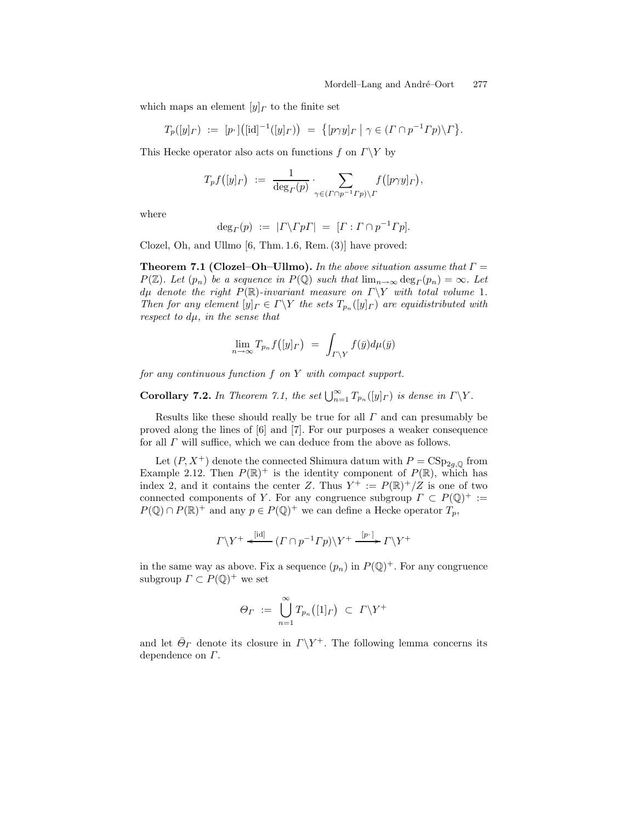which maps an element  $[y]_T$  to the finite set

$$
T_p([y]_{\Gamma}) := [p \cdot] ([\mathrm{id}]^{-1}([y]_{\Gamma})) = \{ [p \gamma y]_{\Gamma} \mid \gamma \in (\Gamma \cap p^{-1} \Gamma p) \backslash \Gamma \}.
$$

This Hecke operator also acts on functions f on  $\Gamma \backslash Y$  by

$$
T_p f([y]_{\Gamma}) \; := \; \frac{1}{\deg_{\Gamma}(p)} \cdot \sum_{\gamma \in (\Gamma \cap p^{-1} \Gamma p) \backslash \Gamma} f([p \gamma y]_{\Gamma}),
$$

where

$$
\deg_{\Gamma}(p) := |\Gamma \backslash \Gamma p \Gamma| = [\Gamma : \Gamma \cap p^{-1} \Gamma p].
$$

Clozel, Oh, and Ullmo [6, Thm. 1.6, Rem. (3)] have proved:

**Theorem 7.1 (Clozel–Oh–Ullmo).** *In the above situation assume that* Γ =  $P(\mathbb{Z})$ *. Let*  $(p_n)$  *be a sequence in*  $P(\mathbb{Q})$  *such that*  $\lim_{n\to\infty} \deg_{\Gamma}(p_n) = \infty$ *. Let*  $d\mu$  *denote the right*  $P(\mathbb{R})$ *-invariant measure on*  $\Gamma \ Y$  *with total volume* 1*. Then for any element*  $[y]_T \in \Gamma \backslash Y$  *the sets*  $T_{p_n}([y]_T)$  *are equidistributed with respect to* dµ*, in the sense that*

$$
\lim_{n\to\infty} T_{p_n}f([y]_{{\Gamma}})\ =\ \int_{{\Gamma}\setminus Y} f(\bar{y})d\mu(\bar{y})
$$

*for any continuous function* f *on* Y *with compact support.*

**Corollary 7.2.** *In Theorem 7.1, the set*  $\bigcup_{n=1}^{\infty} T_{p_n}([y]_T)$  *is dense in*  $\Gamma \backslash Y$ *.* 

Results like these should really be true for all  $\Gamma$  and can presumably be proved along the lines of [6] and [7]. For our purposes a weaker consequence for all  $\Gamma$  will suffice, which we can deduce from the above as follows.

Let  $(P, X^+)$  denote the connected Shimura datum with  $P = \text{CSp}_{2q, \mathbb{Q}}$  from Example 2.12. Then  $P(\mathbb{R})^+$  is the identity component of  $P(\mathbb{R})$ , which has index 2, and it contains the center Z. Thus  $Y^+ := P(\mathbb{R})^+/Z$  is one of two connected components of Y. For any congruence subgroup  $\Gamma \subset P(\mathbb{Q})^+ :=$  $P(\mathbb{Q}) \cap P(\mathbb{R})^+$  and any  $p \in P(\mathbb{Q})^+$  we can define a Hecke operator  $T_p$ ,

$$
\Gamma\backslash Y^+\stackrel{\text{[id]}}{\longleftarrow}(\Gamma\cap p^{-1}\Gamma p)\backslash Y^+\stackrel{[p\cdot]}{\longrightarrow}\Gamma\backslash Y^+
$$

in the same way as above. Fix a sequence  $(p_n)$  in  $P(\mathbb{Q})^+$ . For any congruence subgroup  $\Gamma \subset P(\mathbb{Q})^+$  we set

$$
\varTheta_{\varGamma} \;:=\; \bigcup_{n=1}^{\infty} T_{p_n}\bigl([1]_{\varGamma}\bigr) \;\subset\; \varGamma\backslash Y^+
$$

and let  $\bar{\Theta}_{\Gamma}$  denote its closure in  $\Gamma\backslash Y^+$ . The following lemma concerns its dependence on Γ.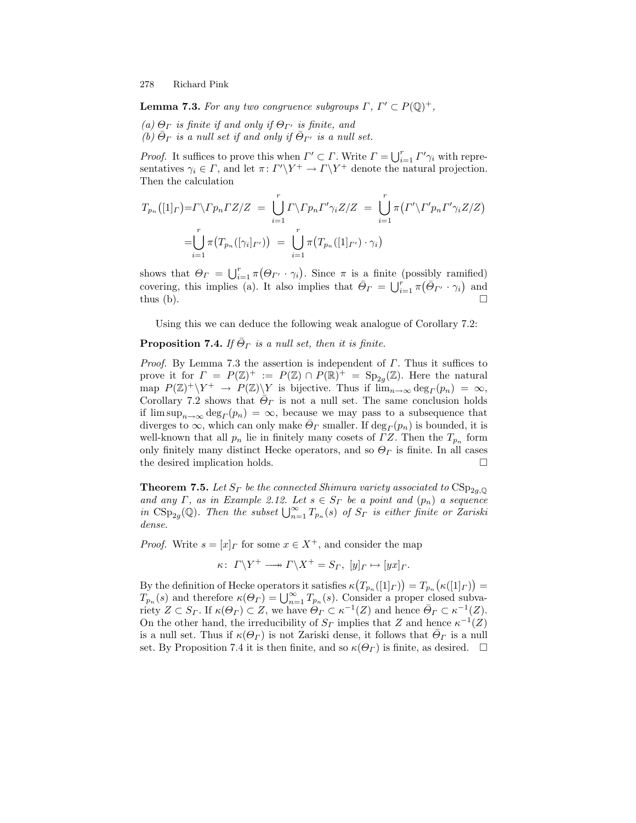**Lemma 7.3.** *For any two congruence subgroups*  $\Gamma$ ,  $\Gamma' \subset P(\mathbb{Q})^+$ ,

 $(a) \Theta_{\Gamma}$  *is finite if and only if*  $\Theta_{\Gamma}$  *is finite, and (b)*  $\Theta_{\Gamma}$  *is a null set if and only if*  $\Theta_{\Gamma'}$  *is a null set.* 

*Proof.* It suffices to prove this when  $\Gamma' \subset \Gamma$ . Write  $\Gamma = \bigcup_{i=1}^r \Gamma' \gamma_i$  with representatives  $\gamma_i \in \Gamma$ , and let  $\pi: \Gamma' \backslash Y^+ \to \Gamma \backslash Y^+$  denote the natural projection. Then the calculation

$$
T_{p_n}([1]_\Gamma) = \Gamma \backslash \Gamma p_n \Gamma Z/Z = \bigcup_{i=1}^r \Gamma \backslash \Gamma p_n \Gamma' \gamma_i Z/Z = \bigcup_{i=1}^r \pi \big( \Gamma' \backslash \Gamma' p_n \Gamma' \gamma_i Z/Z \big)
$$

$$
= \bigcup_{i=1}^r \pi \big( T_{p_n}([\gamma_i]_{\Gamma'}) \big) = \bigcup_{i=1}^r \pi \big( T_{p_n}([1]_{\Gamma'}) \cdot \gamma_i \big)
$$

shows that  $\Theta_{\Gamma} = \bigcup_{i=1}^{r} \pi (\Theta_{\Gamma'} \cdot \gamma_i)$ . Since  $\pi$  is a finite (possibly ramified) covering, this implies (a). It also implies that  $\bar{\Theta}_{\Gamma} = \bigcup_{i=1}^{r} \pi (\bar{\Theta}_{\Gamma'} \cdot \gamma_i)$  and thus (b).  $\Box$ 

Using this we can deduce the following weak analogue of Corollary 7.2:

# **Proposition 7.4.** *If*  $\bar{\Theta}_{\Gamma}$  *is a null set, then it is finite.*

*Proof.* By Lemma 7.3 the assertion is independent of Γ. Thus it suffices to prove it for  $\Gamma = P(\mathbb{Z})^+ := P(\mathbb{Z}) \cap P(\mathbb{R})^+ = \text{Sp}_{2q}(\mathbb{Z})$ . Here the natural map  $P(\mathbb{Z})^+\backslash Y^+ \to P(\mathbb{Z})\backslash Y$  is bijective. Thus if  $\lim_{n\to\infty} \deg_{\Gamma}(p_n) = \infty$ , Corollary 7.2 shows that  $\bar{\Theta}_{\Gamma}$  is not a null set. The same conclusion holds if  $\limsup_{n\to\infty} \deg_{\Gamma}(p_n) = \infty$ , because we may pass to a subsequence that diverges to  $\infty$ , which can only make  $\Theta_{\Gamma}$  smaller. If  $\deg_{\Gamma}(p_n)$  is bounded, it is well-known that all  $p_n$  lie in finitely many cosets of  $\Gamma Z$ . Then the  $T_{p_n}$  form only finitely many distinct Hecke operators, and so  $\Theta_{\Gamma}$  is finite. In all cases the desired implication holds. - $\Box$ 

**Theorem 7.5.** Let  $S_{\Gamma}$  be the connected Shimura variety associated to  $CSp_{2a,0}$ *and any*  $\Gamma$ *, as in Example 2.12. Let*  $s \in S_{\Gamma}$  *be a point and*  $(p_n)$  *a sequence in*  $\text{CSp}_{2g}(\mathbb{Q})$ . Then the subset  $\bigcup_{n=1}^{\infty} T_{p_n}(s)$  of  $S_{\Gamma}$  is either finite or Zariski *dense.*

*Proof.* Write  $s = [x]_r$  for some  $x \in X^+$ , and consider the map

$$
\kappa\colon\thinspace \varGamma\backslash Y^+\longrightarrow \varGamma\backslash X^+=S_\varGamma,\; [y]_\varGamma\mapsto [yx]_\varGamma.
$$

By the definition of Hecke operators it satisfies  $\kappa\big(T_{p_n}([1]_F)\big) = T_{p_n}\big(\kappa([1]_F)\big) =$  $T_{p_n}(s)$  and therefore  $\kappa(\Theta_r) = \bigcup_{n=1}^{\infty} T_{p_n}(s)$ . Consider a proper closed subvariety  $Z \subset S_\Gamma$ . If  $\kappa(\Theta_\Gamma) \subset Z$ , we have  $\Theta_\Gamma \subset \kappa^{-1}(Z)$  and hence  $\overline{\Theta}_\Gamma \subset \kappa^{-1}(Z)$ . On the other hand, the irreducibility of  $S_{\Gamma}$  implies that Z and hence  $\kappa^{-1}(Z)$ is a null set. Thus if  $\kappa(\Theta_{\Gamma})$  is not Zariski dense, it follows that  $\bar{\Theta}_{\Gamma}$  is a null set. By Proposition 7.4 it is then finite, and so  $\kappa(\Theta_{\Gamma})$  is finite, as desired.  $\Box$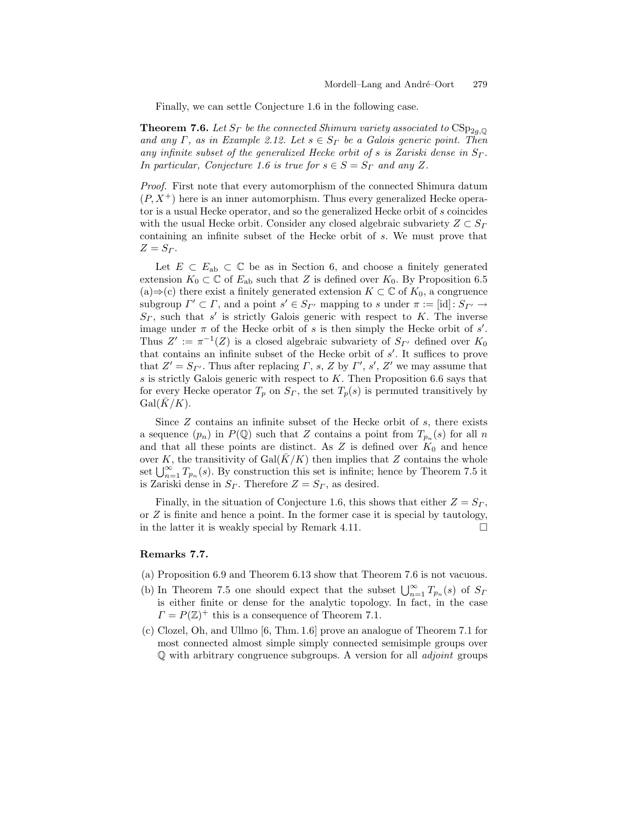Finally, we can settle Conjecture 1.6 in the following case.

**Theorem 7.6.** *Let*  $S_r$  *be the connected Shimura variety associated to*  $CSp_{2g,\mathbb{Q}}$ and any  $\Gamma$ , as in Example 2.12. Let  $s \in S_{\Gamma}$  be a Galois generic point. Then *any infinite subset of the generalized Hecke orbit of* s *is Zariski dense in*  $S_{\Gamma}$ *. In particular, Conjecture 1.6 is true for*  $s \in S = S_\Gamma$  *and any* Z.

*Proof.* First note that every automorphism of the connected Shimura datum  $(P, X^+)$  here is an inner automorphism. Thus every generalized Hecke operator is a usual Hecke operator, and so the generalized Hecke orbit of s coincides with the usual Hecke orbit. Consider any closed algebraic subvariety  $Z \subset S_{\Gamma}$ containing an infinite subset of the Hecke orbit of s. We must prove that  $Z = S_T$ .

Let  $E \subset E_{ab} \subset \mathbb{C}$  be as in Section 6, and choose a finitely generated extension  $K_0 \subset \mathbb{C}$  of  $E_{ab}$  such that Z is defined over  $K_0$ . By Proposition 6.5  $(a)$  ⇒ (c) there exist a finitely generated extension  $K \subset \mathbb{C}$  of  $K_0$ , a congruence subgroup  $\Gamma' \subset \Gamma$ , and a point  $s' \in S_{\Gamma'}$  mapping to s under  $\pi := [\text{id}] : S_{\Gamma'} \to$  $S_r$ , such that s' is strictly Galois generic with respect to K. The inverse image under  $\pi$  of the Hecke orbit of s is then simply the Hecke orbit of s'. Thus  $Z' := \pi^{-1}(Z)$  is a closed algebraic subvariety of  $S_{\Gamma'}$  defined over  $K_0$ that contains an infinite subset of the Hecke orbit of s . It suffices to prove that  $Z' = S_{\Gamma'}$ . Thus after replacing  $\Gamma$ , s, Z by  $\Gamma'$ , s', Z' we may assume that s is strictly Galois generic with respect to  $K$ . Then Proposition 6.6 says that for every Hecke operator  $T_p$  on  $S_r$ , the set  $T_p(s)$  is permuted transitively by  $Gal(K/K)$ .

Since  $Z$  contains an infinite subset of the Hecke orbit of  $s$ , there exists a sequence  $(p_n)$  in  $P(\mathbb{Q})$  such that Z contains a point from  $T_{p_n}(s)$  for all n and that all these points are distinct. As  $Z$  is defined over  $K_0$  and hence over K, the transitivity of  $Gal(K/K)$  then implies that Z contains the whole set  $\bigcup_{n=1}^{\infty} T_{p_n}(s)$ . By construction this set is infinite; hence by Theorem 7.5 it is Zariski dense in  $S_r$ . Therefore  $Z = S_r$ , as desired.

Finally, in the situation of Conjecture 1.6, this shows that either  $Z = S_T$ , or  $Z$  is finite and hence a point. In the former case it is special by tautology, in the latter it is weakly special by Remark 4.11.  $\Box$ 

### **Remarks 7.7.**

- (a) Proposition 6.9 and Theorem 6.13 show that Theorem 7.6 is not vacuous.
- (b) In Theorem 7.5 one should expect that the subset  $\bigcup_{n=1}^{\infty} T_{p_n}(s)$  of  $S_I$ is either finite or dense for the analytic topology. In fact, in the case  $\Gamma = P(\mathbb{Z})^+$  this is a consequence of Theorem 7.1.
- (c) Clozel, Oh, and Ullmo [6, Thm. 1.6] prove an analogue of Theorem 7.1 for most connected almost simple simply connected semisimple groups over Q with arbitrary congruence subgroups. A version for all *adjoint* groups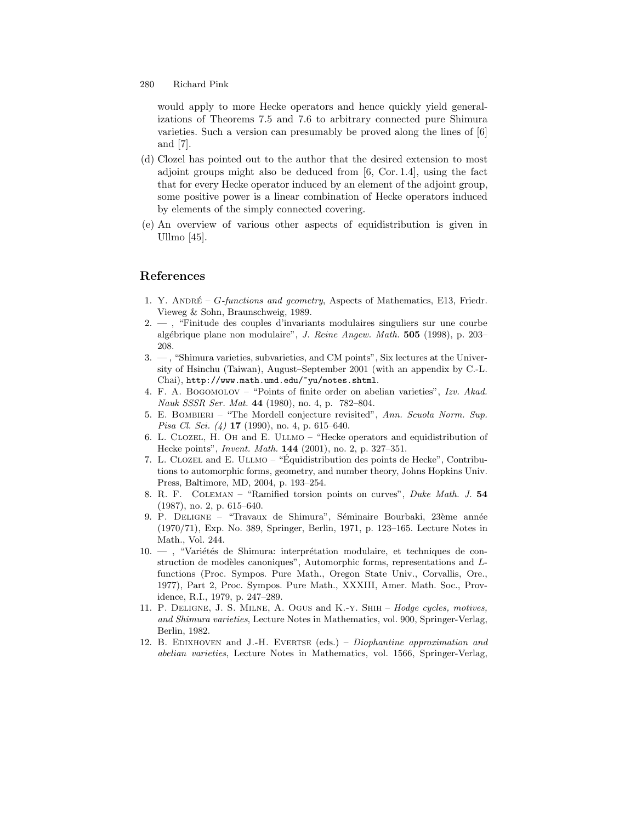would apply to more Hecke operators and hence quickly yield generalizations of Theorems 7.5 and 7.6 to arbitrary connected pure Shimura varieties. Such a version can presumably be proved along the lines of [6] and [7].

- (d) Clozel has pointed out to the author that the desired extension to most adjoint groups might also be deduced from [6, Cor. 1.4], using the fact that for every Hecke operator induced by an element of the adjoint group, some positive power is a linear combination of Hecke operators induced by elements of the simply connected covering.
- (e) An overview of various other aspects of equidistribution is given in Ullmo [45].

# **References**

- 1. Y. ANDRÉ G-functions and geometry, Aspects of Mathematics, E13, Friedr. Vieweg & Sohn, Braunschweig, 1989.
- 2. , "Finitude des couples d'invariants modulaires singuliers sur une courbe alg´ebrique plane non modulaire", J. Reine Angew. Math. **505** (1998), p. 203– 208.
- 3. , "Shimura varieties, subvarieties, and CM points", Six lectures at the University of Hsinchu (Taiwan), August–September 2001 (with an appendix by C.-L. Chai), http://www.math.umd.edu/~yu/notes.shtml.
- 4. F. A. Bogomolov "Points of finite order on abelian varieties", Izv. Akad. Nauk SSSR Ser. Mat. **44** (1980), no. 4, p. 782–804.
- 5. E. Bombieri "The Mordell conjecture revisited", Ann. Scuola Norm. Sup. Pisa Cl. Sci. (4) **17** (1990), no. 4, p. 615–640.
- 6. L. Clozel, H. Oh and E. Ullmo "Hecke operators and equidistribution of Hecke points", Invent. Math. **144** (2001), no. 2, p. 327–351.
- 7. L. CLOZEL and E. ULLMO "Équidistribution des points de Hecke", Contributions to automorphic forms, geometry, and number theory, Johns Hopkins Univ. Press, Baltimore, MD, 2004, p. 193–254.
- 8. R. F. Coleman "Ramified torsion points on curves", Duke Math. J. **54** (1987), no. 2, p. 615–640.
- 9. P. DELIGNE "Travaux de Shimura", Séminaire Bourbaki, 23ème année (1970/71), Exp. No. 389, Springer, Berlin, 1971, p. 123–165. Lecture Notes in Math., Vol. 244.
- $10. -$ , "Variétés de Shimura: interprétation modulaire, et techniques de construction de modèles canoniques", Automorphic forms, representations and  $L$ functions (Proc. Sympos. Pure Math., Oregon State Univ., Corvallis, Ore., 1977), Part 2, Proc. Sympos. Pure Math., XXXIII, Amer. Math. Soc., Providence, R.I., 1979, p. 247–289.
- 11. P. Deligne, J. S. Milne, A. Ogus and K.-y. Shih Hodge cycles, motives, and Shimura varieties, Lecture Notes in Mathematics, vol. 900, Springer-Verlag, Berlin, 1982.
- 12. B. Edixhoven and J.-H. Evertse (eds.) Diophantine approximation and abelian varieties, Lecture Notes in Mathematics, vol. 1566, Springer-Verlag,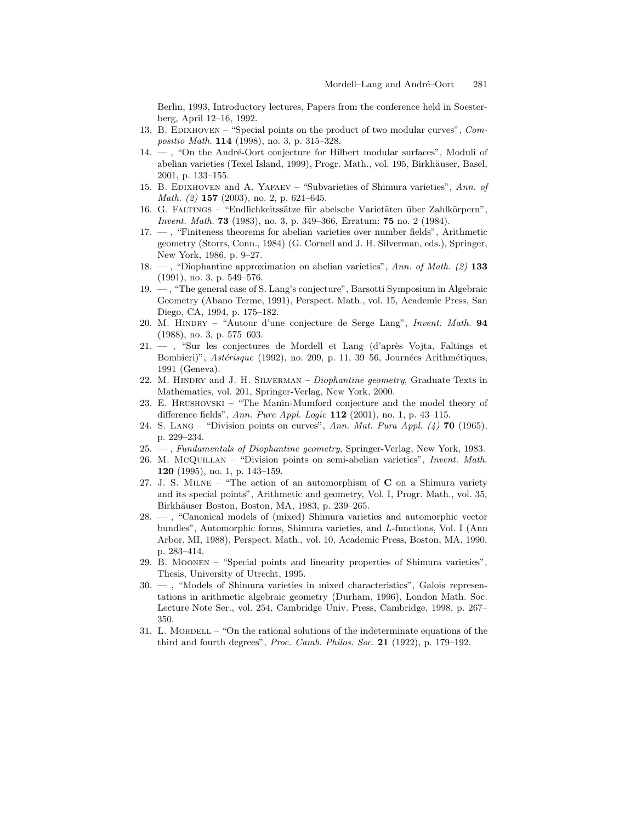Berlin, 1993, Introductory lectures, Papers from the conference held in Soesterberg, April 12–16, 1992.

- 13. B. Edixhoven "Special points on the product of two modular curves", Compositio Math. **114** (1998), no. 3, p. 315–328.
- 14. , "On the André-Oort conjecture for Hilbert modular surfaces", Moduli of abelian varieties (Texel Island, 1999), Progr. Math., vol. 195, Birkhäuser, Basel, 2001, p. 133–155.
- 15. B. Edixhoven and A. Yafaev "Subvarieties of Shimura varieties", Ann. of Math. (2) **157** (2003), no. 2, p. 621–645.
- 16. G. FALTINGS "Endlichkeitssätze für abelsche Varietäten über Zahlkörpern", Invent. Math. **73** (1983), no. 3, p. 349–366, Erratum: **75** no. 2 (1984).
- 17. , "Finiteness theorems for abelian varieties over number fields", Arithmetic geometry (Storrs, Conn., 1984) (G. Cornell and J. H. Silverman, eds.), Springer, New York, 1986, p. 9–27.
- 18. , "Diophantine approximation on abelian varieties", Ann. of Math. (2) **133** (1991), no. 3, p. 549–576.
- 19. , "The general case of S. Lang's conjecture", Barsotti Symposium in Algebraic Geometry (Abano Terme, 1991), Perspect. Math., vol. 15, Academic Press, San Diego, CA, 1994, p. 175–182.
- 20. M. Hindry "Autour d'une conjecture de Serge Lang", Invent. Math. **94** (1988), no. 3, p. 575–603.
- 21. , "Sur les conjectures de Mordell et Lang (d'après Vojta, Faltings et Bombieri)", Astérisque (1992), no. 209, p. 11, 39-56, Journées Arithmétiques, 1991 (Geneva).
- 22. M. HINDRY and J. H. SILVERMAN Diophantine geometry, Graduate Texts in Mathematics, vol. 201, Springer-Verlag, New York, 2000.
- 23. E. Hrushovski "The Manin-Mumford conjecture and the model theory of difference fields", Ann. Pure Appl. Logic **112** (2001), no. 1, p. 43–115.
- 24. S. Lang "Division points on curves", Ann. Mat. Pura Appl. (4) **70** (1965), p. 229–234.
- 25. , Fundamentals of Diophantine geometry, Springer-Verlag, New York, 1983.
- 26. M. McQuillan "Division points on semi-abelian varieties", Invent. Math. **120** (1995), no. 1, p. 143–159.
- 27. J. S. Milne "The action of an automorphism of **C** on a Shimura variety and its special points", Arithmetic and geometry, Vol. I, Progr. Math., vol. 35, Birkhäuser Boston, Boston, MA, 1983, p. 239–265.
- 28. , "Canonical models of (mixed) Shimura varieties and automorphic vector bundles", Automorphic forms, Shimura varieties, and L-functions, Vol. I (Ann Arbor, MI, 1988), Perspect. Math., vol. 10, Academic Press, Boston, MA, 1990, p. 283–414.
- 29. B. Moonen "Special points and linearity properties of Shimura varieties", Thesis, University of Utrecht, 1995.
- 30. , "Models of Shimura varieties in mixed characteristics", Galois representations in arithmetic algebraic geometry (Durham, 1996), London Math. Soc. Lecture Note Ser., vol. 254, Cambridge Univ. Press, Cambridge, 1998, p. 267– 350.
- 31. L. MORDELL "On the rational solutions of the indeterminate equations of the third and fourth degrees", Proc. Camb. Philos. Soc. **21** (1922), p. 179–192.